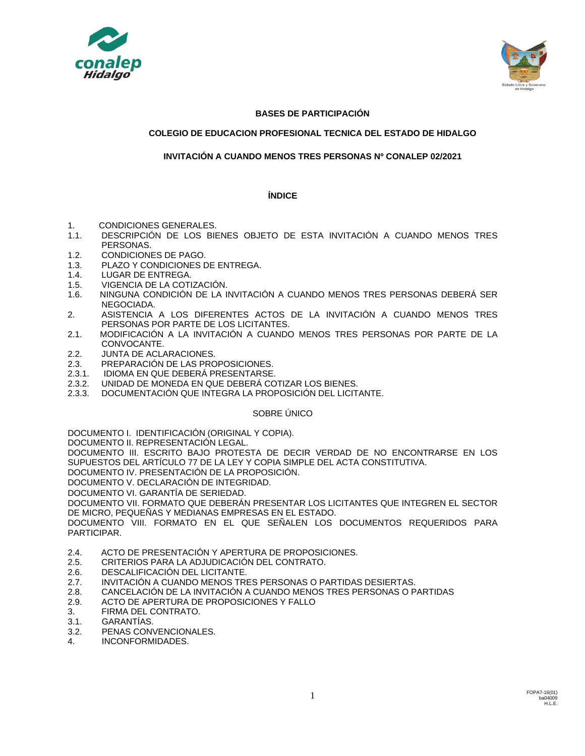



# **BASES DE PARTICIPACIÓN**

# **COLEGIO DE EDUCACION PROFESIONAL TECNICA DEL ESTADO DE HIDALGO**

# **INVITACIÓN A CUANDO MENOS TRES PERSONAS Nº CONALEP 02/2021**

## **ÍNDICE**

- 1. CONDICIONES GENERALES.<br>1.1. DESCRIPCIÓN DE LOS BIF
- 1.1. DESCRIPCIÓN DE LOS BIENES OBJETO DE ESTA INVITACIÓN A CUANDO MENOS TRES PERSONAS.
- 1.2. CONDICIONES DE PAGO.
- 1.3. PLAZO Y CONDICIONES DE ENTREGA.
- 1.4. LUGAR DE ENTREGA.
- 1.5. VIGENCIA DE LA COTIZACIÓN.
- 1.6. NINGUNA CONDICIÓN DE LA INVITACIÓN A CUANDO MENOS TRES PERSONAS DEBERÁ SER NEGOCIADA.
- 2. ASISTENCIA A LOS DIFERENTES ACTOS DE LA INVITACIÓN A CUANDO MENOS TRES PERSONAS POR PARTE DE LOS LICITANTES.
- 2.1. MODIFICACIÓN A LA INVITACIÓN A CUANDO MENOS TRES PERSONAS POR PARTE DE LA CONVOCANTE.
- 2.2. JUNTA DE ACLARACIONES.
- 2.3. PREPARACIÓN DE LAS PROPOSICIONES.
- 2.3.1. IDIOMA EN QUE DEBERÁ PRESENTARSE.
- 2.3.2. UNIDAD DE MONEDA EN QUE DEBERÁ COTIZAR LOS BIENES.
- 2.3.3. DOCUMENTACIÓN QUE INTEGRA LA PROPOSICIÓN DEL LICITANTE.

## SOBRE ÚNICO

DOCUMENTO I. IDENTIFICACIÓN (ORIGINAL Y COPIA).

DOCUMENTO II. REPRESENTACIÓN LEGAL.

DOCUMENTO III. ESCRITO BAJO PROTESTA DE DECIR VERDAD DE NO ENCONTRARSE EN LOS SUPUESTOS DEL ARTÍCULO 77 DE LA LEY Y COPIA SIMPLE DEL ACTA CONSTITUTIVA.

DOCUMENTO IV. PRESENTACIÓN DE LA PROPOSICIÓN.

DOCUMENTO V. DECLARACIÓN DE INTEGRIDAD.

DOCUMENTO VI. GARANTÍA DE SERIEDAD.

DOCUMENTO VII. FORMATO QUE DEBERÁN PRESENTAR LOS LICITANTES QUE INTEGREN EL SECTOR DE MICRO, PEQUEÑAS Y MEDIANAS EMPRESAS EN EL ESTADO.

DOCUMENTO VIII. FORMATO EN EL QUE SEÑALEN LOS DOCUMENTOS REQUERIDOS PARA PARTICIPAR.

- 2.4. ACTO DE PRESENTACIÓN Y APERTURA DE PROPOSICIONES.
- 2.5. CRITERIOS PARA LA ADJUDICACIÓN DEL CONTRATO.
- 2.6. DESCALIFICACIÓN DEL LICITANTE.
- 2.7. INVITACIÓN A CUANDO MENOS TRES PERSONAS O PARTIDAS DESIERTAS.
- 2.8. CANCELACIÓN DE LA INVITACIÓN A CUANDO MENOS TRES PERSONAS O PARTIDAS
- 2.9. ACTO DE APERTURA DE PROPOSICIONES Y FALLO
- 3. FIRMA DEL CONTRATO.
- 3.1. GARANTÍAS.
- 3.2. PENAS CONVENCIONALES.
- 4. INCONFORMIDADES.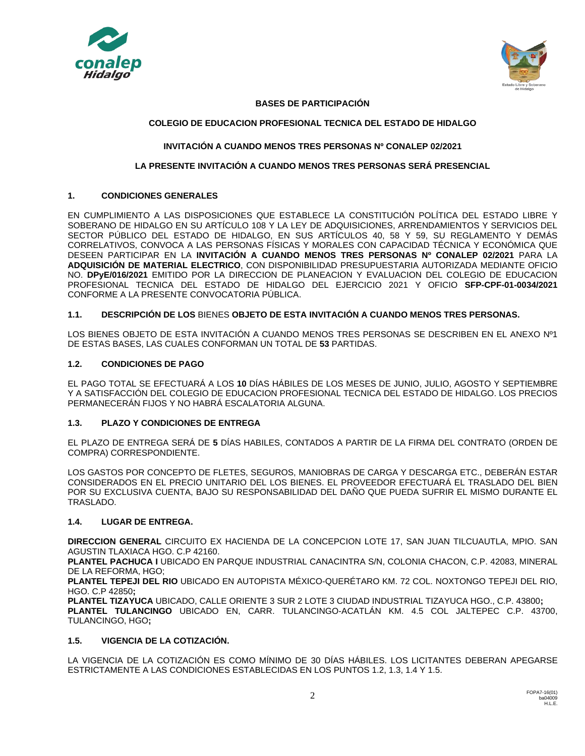



# **BASES DE PARTICIPACIÓN**

# **COLEGIO DE EDUCACION PROFESIONAL TECNICA DEL ESTADO DE HIDALGO**

# **INVITACIÓN A CUANDO MENOS TRES PERSONAS Nº CONALEP 02/2021**

# **LA PRESENTE INVITACIÓN A CUANDO MENOS TRES PERSONAS SERÁ PRESENCIAL**

# **1. CONDICIONES GENERALES**

EN CUMPLIMIENTO A LAS DISPOSICIONES QUE ESTABLECE LA CONSTITUCIÓN POLÍTICA DEL ESTADO LIBRE Y SOBERANO DE HIDALGO EN SU ARTÍCULO 108 Y LA LEY DE ADQUISICIONES, ARRENDAMIENTOS Y SERVICIOS DEL SECTOR PÚBLICO DEL ESTADO DE HIDALGO, EN SUS ARTÍCULOS 40, 58 Y 59, SU REGLAMENTO Y DEMÁS CORRELATIVOS, CONVOCA A LAS PERSONAS FÍSICAS Y MORALES CON CAPACIDAD TÉCNICA Y ECONÓMICA QUE DESEEN PARTICIPAR EN LA **INVITACIÓN A CUANDO MENOS TRES PERSONAS Nº CONALEP 02/2021** PARA LA **ADQUISICIÓN DE MATERIAL ELECTRICO**, CON DISPONIBILIDAD PRESUPUESTARIA AUTORIZADA MEDIANTE OFICIO NO. **DPyE/016/2021** EMITIDO POR LA DIRECCION DE PLANEACION Y EVALUACION DEL COLEGIO DE EDUCACION PROFESIONAL TECNICA DEL ESTADO DE HIDALGO DEL EJERCICIO 2021 Y OFICIO **SFP-CPF-01-0034/2021** CONFORME A LA PRESENTE CONVOCATORIA PÚBLICA.

# **1.1. DESCRIPCIÓN DE LOS** BIENES **OBJETO DE ESTA INVITACIÓN A CUANDO MENOS TRES PERSONAS.**

LOS BIENES OBJETO DE ESTA INVITACIÓN A CUANDO MENOS TRES PERSONAS SE DESCRIBEN EN EL ANEXO Nº1 DE ESTAS BASES, LAS CUALES CONFORMAN UN TOTAL DE **53** PARTIDAS.

## **1.2. CONDICIONES DE PAGO**

EL PAGO TOTAL SE EFECTUARÁ A LOS **10** DÍAS HÁBILES DE LOS MESES DE JUNIO, JULIO, AGOSTO Y SEPTIEMBRE Y A SATISFACCIÓN DEL COLEGIO DE EDUCACION PROFESIONAL TECNICA DEL ESTADO DE HIDALGO. LOS PRECIOS PERMANECERÁN FIJOS Y NO HABRÁ ESCALATORIA ALGUNA.

# **1.3. PLAZO Y CONDICIONES DE ENTREGA**

EL PLAZO DE ENTREGA SERÁ DE **5** DÍAS HABILES, CONTADOS A PARTIR DE LA FIRMA DEL CONTRATO (ORDEN DE COMPRA) CORRESPONDIENTE.

LOS GASTOS POR CONCEPTO DE FLETES, SEGUROS, MANIOBRAS DE CARGA Y DESCARGA ETC., DEBERÁN ESTAR CONSIDERADOS EN EL PRECIO UNITARIO DEL LOS BIENES. EL PROVEEDOR EFECTUARÁ EL TRASLADO DEL BIEN POR SU EXCLUSIVA CUENTA, BAJO SU RESPONSABILIDAD DEL DAÑO QUE PUEDA SUFRIR EL MISMO DURANTE EL TRASLADO.

## **1.4. LUGAR DE ENTREGA.**

**DIRECCION GENERAL** CIRCUITO EX HACIENDA DE LA CONCEPCION LOTE 17, SAN JUAN TILCUAUTLA, MPIO. SAN AGUSTIN TLAXIACA HGO. C.P 42160.

**PLANTEL PACHUCA I** UBICADO EN PARQUE INDUSTRIAL CANACINTRA S/N, COLONIA CHACON, C.P. 42083, MINERAL DE LA REFORMA, HGO;

**PLANTEL TEPEJI DEL RIO** UBICADO EN AUTOPISTA MÉXICO-QUERÉTARO KM. 72 COL. NOXTONGO TEPEJI DEL RIO, HGO. C.P 42850**;**

**PLANTEL TIZAYUCA** UBICADO, CALLE ORIENTE 3 SUR 2 LOTE 3 CIUDAD INDUSTRIAL TIZAYUCA HGO., C.P. 43800**; PLANTEL TULANCINGO** UBICADO EN, CARR. TULANCINGO-ACATLÁN KM. 4.5 COL JALTEPEC C.P. 43700, TULANCINGO, HGO**;**

# **1.5. VIGENCIA DE LA COTIZACIÓN.**

LA VIGENCIA DE LA COTIZACIÓN ES COMO MÍNIMO DE 30 DÍAS HÁBILES. LOS LICITANTES DEBERAN APEGARSE ESTRICTAMENTE A LAS CONDICIONES ESTABLECIDAS EN LOS PUNTOS 1.2, 1.3, 1.4 Y 1.5.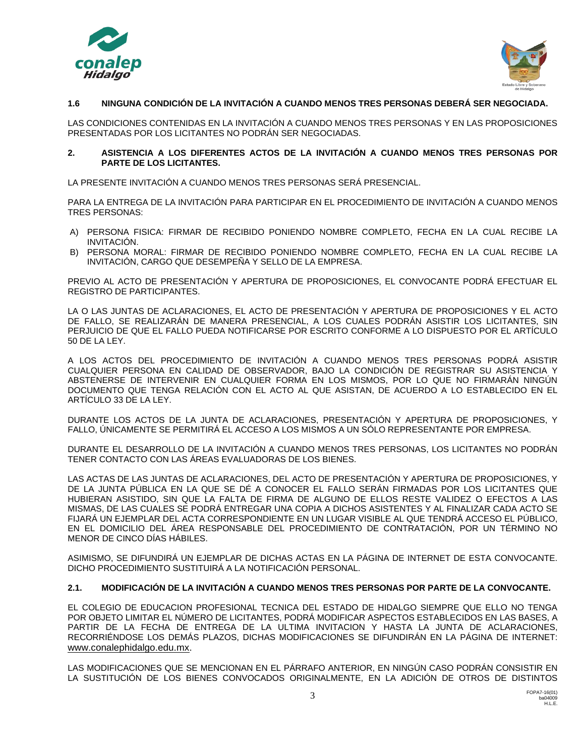



# **1.6 NINGUNA CONDICIÓN DE LA INVITACIÓN A CUANDO MENOS TRES PERSONAS DEBERÁ SER NEGOCIADA.**

LAS CONDICIONES CONTENIDAS EN LA INVITACIÓN A CUANDO MENOS TRES PERSONAS Y EN LAS PROPOSICIONES PRESENTADAS POR LOS LICITANTES NO PODRÁN SER NEGOCIADAS.

## **2. ASISTENCIA A LOS DIFERENTES ACTOS DE LA INVITACIÓN A CUANDO MENOS TRES PERSONAS POR PARTE DE LOS LICITANTES.**

LA PRESENTE INVITACIÓN A CUANDO MENOS TRES PERSONAS SERÁ PRESENCIAL.

PARA LA ENTREGA DE LA INVITACIÓN PARA PARTICIPAR EN EL PROCEDIMIENTO DE INVITACIÓN A CUANDO MENOS TRES PERSONAS:

- A) PERSONA FISICA: FIRMAR DE RECIBIDO PONIENDO NOMBRE COMPLETO, FECHA EN LA CUAL RECIBE LA INVITACIÓN.
- B) PERSONA MORAL: FIRMAR DE RECIBIDO PONIENDO NOMBRE COMPLETO, FECHA EN LA CUAL RECIBE LA INVITACIÓN, CARGO QUE DESEMPEÑA Y SELLO DE LA EMPRESA.

PREVIO AL ACTO DE PRESENTACIÓN Y APERTURA DE PROPOSICIONES, EL CONVOCANTE PODRÁ EFECTUAR EL REGISTRO DE PARTICIPANTES.

LA O LAS JUNTAS DE ACLARACIONES, EL ACTO DE PRESENTACIÓN Y APERTURA DE PROPOSICIONES Y EL ACTO DE FALLO, SE REALIZARÁN DE MANERA PRESENCIAL, A LOS CUALES PODRÁN ASISTIR LOS LICITANTES, SIN PERJUICIO DE QUE EL FALLO PUEDA NOTIFICARSE POR ESCRITO CONFORME A LO DISPUESTO POR EL ARTÍCULO 50 DE LA LEY.

A LOS ACTOS DEL PROCEDIMIENTO DE INVITACIÓN A CUANDO MENOS TRES PERSONAS PODRÁ ASISTIR CUALQUIER PERSONA EN CALIDAD DE OBSERVADOR, BAJO LA CONDICIÓN DE REGISTRAR SU ASISTENCIA Y ABSTENERSE DE INTERVENIR EN CUALQUIER FORMA EN LOS MISMOS, POR LO QUE NO FIRMARÁN NINGÚN DOCUMENTO QUE TENGA RELACIÓN CON EL ACTO AL QUE ASISTAN, DE ACUERDO A LO ESTABLECIDO EN EL ARTÍCULO 33 DE LA LEY.

DURANTE LOS ACTOS DE LA JUNTA DE ACLARACIONES, PRESENTACIÓN Y APERTURA DE PROPOSICIONES, Y FALLO, ÚNICAMENTE SE PERMITIRÁ EL ACCESO A LOS MISMOS A UN SÓLO REPRESENTANTE POR EMPRESA.

DURANTE EL DESARROLLO DE LA INVITACIÓN A CUANDO MENOS TRES PERSONAS, LOS LICITANTES NO PODRÁN TENER CONTACTO CON LAS ÁREAS EVALUADORAS DE LOS BIENES.

LAS ACTAS DE LAS JUNTAS DE ACLARACIONES, DEL ACTO DE PRESENTACIÓN Y APERTURA DE PROPOSICIONES, Y DE LA JUNTA PÚBLICA EN LA QUE SE DÉ A CONOCER EL FALLO SERÁN FIRMADAS POR LOS LICITANTES QUE HUBIERAN ASISTIDO, SIN QUE LA FALTA DE FIRMA DE ALGUNO DE ELLOS RESTE VALIDEZ O EFECTOS A LAS MISMAS, DE LAS CUALES SE PODRÁ ENTREGAR UNA COPIA A DICHOS ASISTENTES Y AL FINALIZAR CADA ACTO SE FIJARÁ UN EJEMPLAR DEL ACTA CORRESPONDIENTE EN UN LUGAR VISIBLE AL QUE TENDRÁ ACCESO EL PÚBLICO, EN EL DOMICILIO DEL ÁREA RESPONSABLE DEL PROCEDIMIENTO DE CONTRATACIÓN, POR UN TÉRMINO NO MENOR DE CINCO DÍAS HÁBILES.

ASIMISMO, SE DIFUNDIRÁ UN EJEMPLAR DE DICHAS ACTAS EN LA PÁGINA DE INTERNET DE ESTA CONVOCANTE. DICHO PROCEDIMIENTO SUSTITUIRÁ A LA NOTIFICACIÓN PERSONAL.

# **2.1. MODIFICACIÓN DE LA INVITACIÓN A CUANDO MENOS TRES PERSONAS POR PARTE DE LA CONVOCANTE.**

EL COLEGIO DE EDUCACION PROFESIONAL TECNICA DEL ESTADO DE HIDALGO SIEMPRE QUE ELLO NO TENGA POR OBJETO LIMITAR EL NÚMERO DE LICITANTES, PODRÁ MODIFICAR ASPECTOS ESTABLECIDOS EN LAS BASES, A PARTIR DE LA FECHA DE ENTREGA DE LA ULTIMA INVITACION Y HASTA LA JUNTA DE ACLARACIONES, RECORRIÉNDOSE LOS DEMÁS PLAZOS, DICHAS MODIFICACIONES SE DIFUNDIRÁN EN LA PÁGINA DE INTERNET: [www.conalephidalgo.edu.mx.](http://www.conalephidalgo.edu.mx/)

LAS MODIFICACIONES QUE SE MENCIONAN EN EL PÁRRAFO ANTERIOR, EN NINGÚN CASO PODRÁN CONSISTIR EN LA SUSTITUCIÓN DE LOS BIENES CONVOCADOS ORIGINALMENTE, EN LA ADICIÓN DE OTROS DE DISTINTOS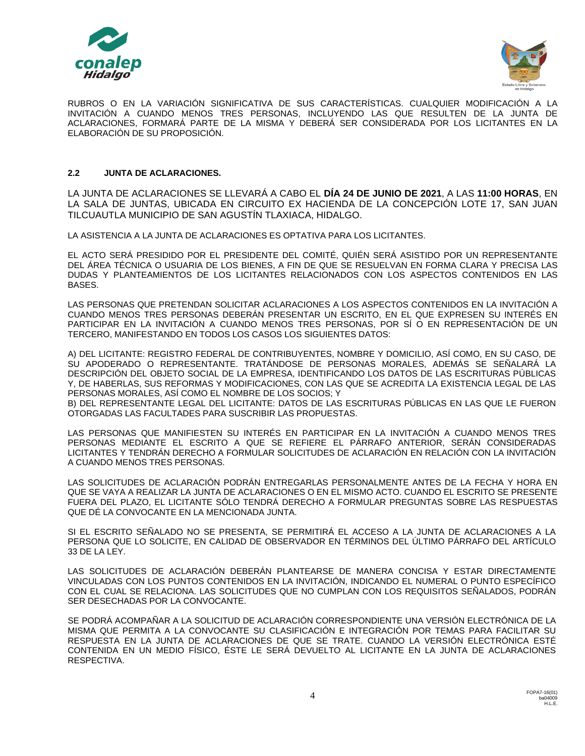



RUBROS O EN LA VARIACIÓN SIGNIFICATIVA DE SUS CARACTERÍSTICAS. CUALQUIER MODIFICACIÓN A LA INVITACIÓN A CUANDO MENOS TRES PERSONAS, INCLUYENDO LAS QUE RESULTEN DE LA JUNTA DE ACLARACIONES, FORMARÁ PARTE DE LA MISMA Y DEBERÁ SER CONSIDERADA POR LOS LICITANTES EN LA ELABORACIÓN DE SU PROPOSICIÓN.

# **2.2 JUNTA DE ACLARACIONES.**

LA JUNTA DE ACLARACIONES SE LLEVARÁ A CABO EL **DÍA 24 DE JUNIO DE 2021**, A LAS **11:00 HORAS**, EN LA SALA DE JUNTAS, UBICADA EN CIRCUITO EX HACIENDA DE LA CONCEPCIÓN LOTE 17, SAN JUAN TILCUAUTLA MUNICIPIO DE SAN AGUSTÍN TLAXIACA, HIDALGO.

LA ASISTENCIA A LA JUNTA DE ACLARACIONES ES OPTATIVA PARA LOS LICITANTES.

EL ACTO SERÁ PRESIDIDO POR EL PRESIDENTE DEL COMITÉ, QUIÉN SERÁ ASISTIDO POR UN REPRESENTANTE DEL ÁREA TÉCNICA O USUARIA DE LOS BIENES, A FIN DE QUE SE RESUELVAN EN FORMA CLARA Y PRECISA LAS DUDAS Y PLANTEAMIENTOS DE LOS LICITANTES RELACIONADOS CON LOS ASPECTOS CONTENIDOS EN LAS BASES.

LAS PERSONAS QUE PRETENDAN SOLICITAR ACLARACIONES A LOS ASPECTOS CONTENIDOS EN LA INVITACIÓN A CUANDO MENOS TRES PERSONAS DEBERÁN PRESENTAR UN ESCRITO, EN EL QUE EXPRESEN SU INTERÉS EN PARTICIPAR EN LA INVITACIÓN A CUANDO MENOS TRES PERSONAS, POR SÍ O EN REPRESENTACIÓN DE UN TERCERO, MANIFESTANDO EN TODOS LOS CASOS LOS SIGUIENTES DATOS:

A) DEL LICITANTE: REGISTRO FEDERAL DE CONTRIBUYENTES, NOMBRE Y DOMICILIO, ASÍ COMO, EN SU CASO, DE SU APODERADO O REPRESENTANTE. TRATÁNDOSE DE PERSONAS MORALES, ADEMÁS SE SEÑALARÁ LA DESCRIPCIÓN DEL OBJETO SOCIAL DE LA EMPRESA, IDENTIFICANDO LOS DATOS DE LAS ESCRITURAS PÚBLICAS Y, DE HABERLAS, SUS REFORMAS Y MODIFICACIONES, CON LAS QUE SE ACREDITA LA EXISTENCIA LEGAL DE LAS PERSONAS MORALES, ASÍ COMO EL NOMBRE DE LOS SOCIOS; Y

B) DEL REPRESENTANTE LEGAL DEL LICITANTE: DATOS DE LAS ESCRITURAS PÚBLICAS EN LAS QUE LE FUERON OTORGADAS LAS FACULTADES PARA SUSCRIBIR LAS PROPUESTAS.

LAS PERSONAS QUE MANIFIESTEN SU INTERÉS EN PARTICIPAR EN LA INVITACIÓN A CUANDO MENOS TRES PERSONAS MEDIANTE EL ESCRITO A QUE SE REFIERE EL PÁRRAFO ANTERIOR, SERÁN CONSIDERADAS LICITANTES Y TENDRÁN DERECHO A FORMULAR SOLICITUDES DE ACLARACIÓN EN RELACIÓN CON LA INVITACIÓN A CUANDO MENOS TRES PERSONAS.

LAS SOLICITUDES DE ACLARACIÓN PODRÁN ENTREGARLAS PERSONALMENTE ANTES DE LA FECHA Y HORA EN QUE SE VAYA A REALIZAR LA JUNTA DE ACLARACIONES O EN EL MISMO ACTO. CUANDO EL ESCRITO SE PRESENTE FUERA DEL PLAZO, EL LICITANTE SÓLO TENDRÁ DERECHO A FORMULAR PREGUNTAS SOBRE LAS RESPUESTAS QUE DÉ LA CONVOCANTE EN LA MENCIONADA JUNTA.

SI EL ESCRITO SEÑALADO NO SE PRESENTA, SE PERMITIRÁ EL ACCESO A LA JUNTA DE ACLARACIONES A LA PERSONA QUE LO SOLICITE, EN CALIDAD DE OBSERVADOR EN TÉRMINOS DEL ÚLTIMO PÁRRAFO DEL ARTÍCULO 33 DE LA LEY.

LAS SOLICITUDES DE ACLARACIÓN DEBERÁN PLANTEARSE DE MANERA CONCISA Y ESTAR DIRECTAMENTE VINCULADAS CON LOS PUNTOS CONTENIDOS EN LA INVITACIÓN, INDICANDO EL NUMERAL O PUNTO ESPECÍFICO CON EL CUAL SE RELACIONA. LAS SOLICITUDES QUE NO CUMPLAN CON LOS REQUISITOS SEÑALADOS, PODRÁN SER DESECHADAS POR LA CONVOCANTE.

SE PODRÁ ACOMPAÑAR A LA SOLICITUD DE ACLARACIÓN CORRESPONDIENTE UNA VERSIÓN ELECTRÓNICA DE LA MISMA QUE PERMITA A LA CONVOCANTE SU CLASIFICACIÓN E INTEGRACIÓN POR TEMAS PARA FACILITAR SU RESPUESTA EN LA JUNTA DE ACLARACIONES DE QUE SE TRATE. CUANDO LA VERSIÓN ELECTRÓNICA ESTÉ CONTENIDA EN UN MEDIO FÍSICO, ÉSTE LE SERÁ DEVUELTO AL LICITANTE EN LA JUNTA DE ACLARACIONES RESPECTIVA.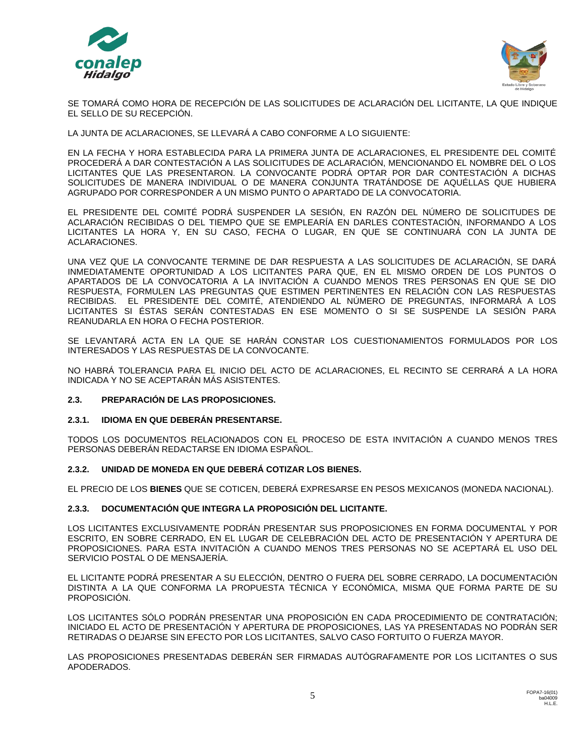



SE TOMARÁ COMO HORA DE RECEPCIÓN DE LAS SOLICITUDES DE ACLARACIÓN DEL LICITANTE, LA QUE INDIQUE EL SELLO DE SU RECEPCIÓN.

LA JUNTA DE ACLARACIONES, SE LLEVARÁ A CABO CONFORME A LO SIGUIENTE:

EN LA FECHA Y HORA ESTABLECIDA PARA LA PRIMERA JUNTA DE ACLARACIONES, EL PRESIDENTE DEL COMITÉ PROCEDERÁ A DAR CONTESTACIÓN A LAS SOLICITUDES DE ACLARACIÓN, MENCIONANDO EL NOMBRE DEL O LOS LICITANTES QUE LAS PRESENTARON. LA CONVOCANTE PODRÁ OPTAR POR DAR CONTESTACIÓN A DICHAS SOLICITUDES DE MANERA INDIVIDUAL O DE MANERA CONJUNTA TRATÁNDOSE DE AQUÉLLAS QUE HUBIERA AGRUPADO POR CORRESPONDER A UN MISMO PUNTO O APARTADO DE LA CONVOCATORIA.

EL PRESIDENTE DEL COMITÉ PODRÁ SUSPENDER LA SESIÓN, EN RAZÓN DEL NÚMERO DE SOLICITUDES DE ACLARACIÓN RECIBIDAS O DEL TIEMPO QUE SE EMPLEARÍA EN DARLES CONTESTACIÓN, INFORMANDO A LOS LICITANTES LA HORA Y, EN SU CASO, FECHA O LUGAR, EN QUE SE CONTINUARÁ CON LA JUNTA DE ACLARACIONES.

UNA VEZ QUE LA CONVOCANTE TERMINE DE DAR RESPUESTA A LAS SOLICITUDES DE ACLARACIÓN, SE DARÁ INMEDIATAMENTE OPORTUNIDAD A LOS LICITANTES PARA QUE, EN EL MISMO ORDEN DE LOS PUNTOS O APARTADOS DE LA CONVOCATORIA A LA INVITACIÓN A CUANDO MENOS TRES PERSONAS EN QUE SE DIO RESPUESTA, FORMULEN LAS PREGUNTAS QUE ESTIMEN PERTINENTES EN RELACIÓN CON LAS RESPUESTAS RECIBIDAS. EL PRESIDENTE DEL COMITÉ, ATENDIENDO AL NÚMERO DE PREGUNTAS, INFORMARÁ A LOS LICITANTES SI ÉSTAS SERÁN CONTESTADAS EN ESE MOMENTO O SI SE SUSPENDE LA SESIÓN PARA REANUDARLA EN HORA O FECHA POSTERIOR.

SE LEVANTARÁ ACTA EN LA QUE SE HARÁN CONSTAR LOS CUESTIONAMIENTOS FORMULADOS POR LOS INTERESADOS Y LAS RESPUESTAS DE LA CONVOCANTE.

NO HABRÁ TOLERANCIA PARA EL INICIO DEL ACTO DE ACLARACIONES, EL RECINTO SE CERRARÁ A LA HORA INDICADA Y NO SE ACEPTARÁN MÁS ASISTENTES.

## **2.3. PREPARACIÓN DE LAS PROPOSICIONES.**

## **2.3.1. IDIOMA EN QUE DEBERÁN PRESENTARSE.**

TODOS LOS DOCUMENTOS RELACIONADOS CON EL PROCESO DE ESTA INVITACIÓN A CUANDO MENOS TRES PERSONAS DEBERÁN REDACTARSE EN IDIOMA ESPAÑOL.

## **2.3.2. UNIDAD DE MONEDA EN QUE DEBERÁ COTIZAR LOS BIENES.**

EL PRECIO DE LOS **BIENES** QUE SE COTICEN, DEBERÁ EXPRESARSE EN PESOS MEXICANOS (MONEDA NACIONAL).

## **2.3.3. DOCUMENTACIÓN QUE INTEGRA LA PROPOSICIÓN DEL LICITANTE.**

LOS LICITANTES EXCLUSIVAMENTE PODRÁN PRESENTAR SUS PROPOSICIONES EN FORMA DOCUMENTAL Y POR ESCRITO, EN SOBRE CERRADO, EN EL LUGAR DE CELEBRACIÓN DEL ACTO DE PRESENTACIÓN Y APERTURA DE PROPOSICIONES. PARA ESTA INVITACIÓN A CUANDO MENOS TRES PERSONAS NO SE ACEPTARÁ EL USO DEL SERVICIO POSTAL O DE MENSAJERÍA.

EL LICITANTE PODRÁ PRESENTAR A SU ELECCIÓN, DENTRO O FUERA DEL SOBRE CERRADO, LA DOCUMENTACIÓN DISTINTA A LA QUE CONFORMA LA PROPUESTA TÉCNICA Y ECONÓMICA, MISMA QUE FORMA PARTE DE SU PROPOSICIÓN.

LOS LICITANTES SÓLO PODRÁN PRESENTAR UNA PROPOSICIÓN EN CADA PROCEDIMIENTO DE CONTRATACIÓN; INICIADO EL ACTO DE PRESENTACIÓN Y APERTURA DE PROPOSICIONES, LAS YA PRESENTADAS NO PODRÁN SER RETIRADAS O DEJARSE SIN EFECTO POR LOS LICITANTES, SALVO CASO FORTUITO O FUERZA MAYOR.

LAS PROPOSICIONES PRESENTADAS DEBERÁN SER FIRMADAS AUTÓGRAFAMENTE POR LOS LICITANTES O SUS APODERADOS.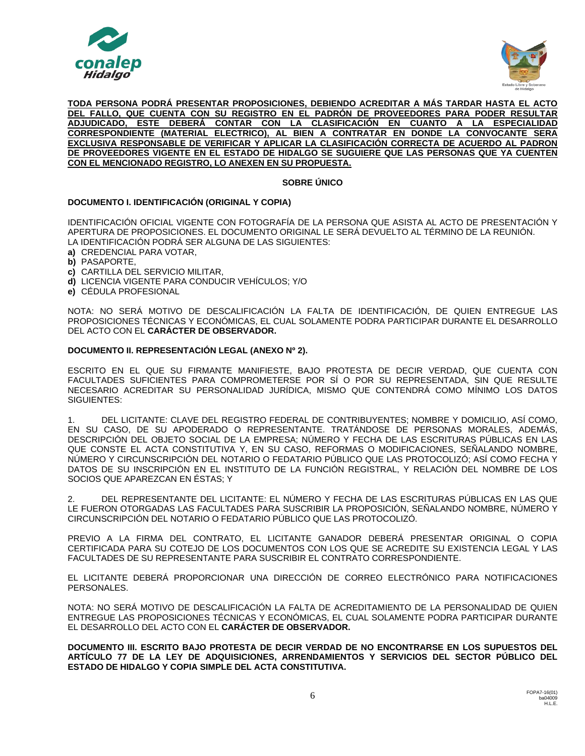



**TODA PERSONA PODRÁ PRESENTAR PROPOSICIONES, DEBIENDO ACREDITAR A MÁS TARDAR HASTA EL ACTO DEL FALLO, QUE CUENTA CON SU REGISTRO EN EL PADRÓN DE PROVEEDORES PARA PODER RESULTAR ADJUDICADO, ESTE DEBERÁ CONTAR CON LA CLASIFICACIÓN EN CUANTO A LA ESPECIALIDAD CORRESPONDIENTE (MATERIAL ELECTRICO), AL BIEN A CONTRATAR EN DONDE LA CONVOCANTE SERA EXCLUSIVA RESPONSABLE DE VERIFICAR Y APLICAR LA CLASIFICACIÓN CORRECTA DE ACUERDO AL PADRON DE PROVEEDORES VIGENTE EN EL ESTADO DE HIDALGO SE SUGUIERE QUE LAS PERSONAS QUE YA CUENTEN CON EL MENCIONADO REGISTRO, LO ANEXEN EN SU PROPUESTA.**

# **SOBRE ÚNICO**

# **DOCUMENTO I. IDENTIFICACIÓN (ORIGINAL Y COPIA)**

IDENTIFICACIÓN OFICIAL VIGENTE CON FOTOGRAFÍA DE LA PERSONA QUE ASISTA AL ACTO DE PRESENTACIÓN Y APERTURA DE PROPOSICIONES. EL DOCUMENTO ORIGINAL LE SERÁ DEVUELTO AL TÉRMINO DE LA REUNIÓN. LA IDENTIFICACIÓN PODRÁ SER ALGUNA DE LAS SIGUIENTES:

- **a)** CREDENCIAL PARA VOTAR,
- **b)** PASAPORTE,
- **c)** CARTILLA DEL SERVICIO MILITAR,
- **d)** LICENCIA VIGENTE PARA CONDUCIR VEHÍCULOS; Y/O
- **e)** CÉDULA PROFESIONAL

NOTA: NO SERÁ MOTIVO DE DESCALIFICACIÓN LA FALTA DE IDENTIFICACIÓN, DE QUIEN ENTREGUE LAS PROPOSICIONES TÉCNICAS Y ECONÓMICAS, EL CUAL SOLAMENTE PODRA PARTICIPAR DURANTE EL DESARROLLO DEL ACTO CON EL **CARÁCTER DE OBSERVADOR.**

## **DOCUMENTO II. REPRESENTACIÓN LEGAL (ANEXO Nº 2).**

ESCRITO EN EL QUE SU FIRMANTE MANIFIESTE, BAJO PROTESTA DE DECIR VERDAD, QUE CUENTA CON FACULTADES SUFICIENTES PARA COMPROMETERSE POR SÍ O POR SU REPRESENTADA, SIN QUE RESULTE NECESARIO ACREDITAR SU PERSONALIDAD JURÍDICA, MISMO QUE CONTENDRÁ COMO MÍNIMO LOS DATOS SIGUIENTES:

1. DEL LICITANTE: CLAVE DEL REGISTRO FEDERAL DE CONTRIBUYENTES; NOMBRE Y DOMICILIO, ASÍ COMO, EN SU CASO, DE SU APODERADO O REPRESENTANTE. TRATÁNDOSE DE PERSONAS MORALES, ADEMÁS, DESCRIPCIÓN DEL OBJETO SOCIAL DE LA EMPRESA; NÚMERO Y FECHA DE LAS ESCRITURAS PÚBLICAS EN LAS QUE CONSTE EL ACTA CONSTITUTIVA Y, EN SU CASO, REFORMAS O MODIFICACIONES, SEÑALANDO NOMBRE, NÚMERO Y CIRCUNSCRIPCIÓN DEL NOTARIO O FEDATARIO PÚBLICO QUE LAS PROTOCOLIZÓ; ASÍ COMO FECHA Y DATOS DE SU INSCRIPCIÓN EN EL INSTITUTO DE LA FUNCIÓN REGISTRAL, Y RELACIÓN DEL NOMBRE DE LOS SOCIOS QUE APAREZCAN EN ÉSTAS; Y

2. DEL REPRESENTANTE DEL LICITANTE: EL NÚMERO Y FECHA DE LAS ESCRITURAS PÚBLICAS EN LAS QUE LE FUERON OTORGADAS LAS FACULTADES PARA SUSCRIBIR LA PROPOSICIÓN, SEÑALANDO NOMBRE, NÚMERO Y CIRCUNSCRIPCIÓN DEL NOTARIO O FEDATARIO PÚBLICO QUE LAS PROTOCOLIZÓ.

PREVIO A LA FIRMA DEL CONTRATO, EL LICITANTE GANADOR DEBERÁ PRESENTAR ORIGINAL O COPIA CERTIFICADA PARA SU COTEJO DE LOS DOCUMENTOS CON LOS QUE SE ACREDITE SU EXISTENCIA LEGAL Y LAS FACULTADES DE SU REPRESENTANTE PARA SUSCRIBIR EL CONTRATO CORRESPONDIENTE.

EL LICITANTE DEBERÁ PROPORCIONAR UNA DIRECCIÓN DE CORREO ELECTRÓNICO PARA NOTIFICACIONES PERSONALES.

NOTA: NO SERÁ MOTIVO DE DESCALIFICACIÓN LA FALTA DE ACREDITAMIENTO DE LA PERSONALIDAD DE QUIEN ENTREGUE LAS PROPOSICIONES TÉCNICAS Y ECONÓMICAS, EL CUAL SOLAMENTE PODRA PARTICIPAR DURANTE EL DESARROLLO DEL ACTO CON EL **CARÁCTER DE OBSERVADOR.**

**DOCUMENTO III. ESCRITO BAJO PROTESTA DE DECIR VERDAD DE NO ENCONTRARSE EN LOS SUPUESTOS DEL ARTÍCULO 77 DE LA LEY DE ADQUISICIONES, ARRENDAMIENTOS Y SERVICIOS DEL SECTOR PÚBLICO DEL ESTADO DE HIDALGO Y COPIA SIMPLE DEL ACTA CONSTITUTIVA.**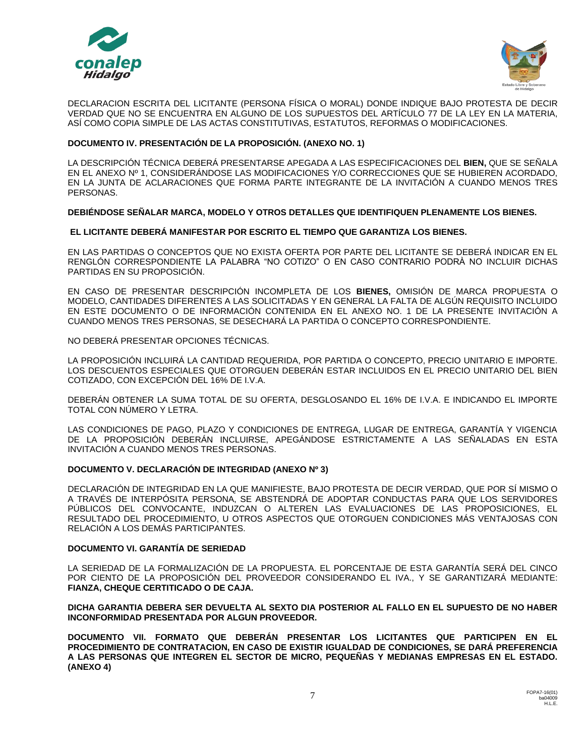



DECLARACION ESCRITA DEL LICITANTE (PERSONA FÍSICA O MORAL) DONDE INDIQUE BAJO PROTESTA DE DECIR VERDAD QUE NO SE ENCUENTRA EN ALGUNO DE LOS SUPUESTOS DEL ARTÍCULO 77 DE LA LEY EN LA MATERIA, ASÍ COMO COPIA SIMPLE DE LAS ACTAS CONSTITUTIVAS, ESTATUTOS, REFORMAS O MODIFICACIONES.

## **DOCUMENTO IV. PRESENTACIÓN DE LA PROPOSICIÓN. (ANEXO NO. 1)**

LA DESCRIPCIÓN TÉCNICA DEBERÁ PRESENTARSE APEGADA A LAS ESPECIFICACIONES DEL **BIEN,** QUE SE SEÑALA EN EL ANEXO Nº 1, CONSIDERÁNDOSE LAS MODIFICACIONES Y/O CORRECCIONES QUE SE HUBIEREN ACORDADO, EN LA JUNTA DE ACLARACIONES QUE FORMA PARTE INTEGRANTE DE LA INVITACIÓN A CUANDO MENOS TRES PERSONAS.

# **DEBIÉNDOSE SEÑALAR MARCA, MODELO Y OTROS DETALLES QUE IDENTIFIQUEN PLENAMENTE LOS BIENES.**

# **EL LICITANTE DEBERÁ MANIFESTAR POR ESCRITO EL TIEMPO QUE GARANTIZA LOS BIENES.**

EN LAS PARTIDAS O CONCEPTOS QUE NO EXISTA OFERTA POR PARTE DEL LICITANTE SE DEBERÁ INDICAR EN EL RENGLÓN CORRESPONDIENTE LA PALABRA "NO COTIZO" O EN CASO CONTRARIO PODRÀ NO INCLUIR DICHAS PARTIDAS EN SU PROPOSICIÓN.

EN CASO DE PRESENTAR DESCRIPCIÓN INCOMPLETA DE LOS **BIENES,** OMISIÓN DE MARCA PROPUESTA O MODELO, CANTIDADES DIFERENTES A LAS SOLICITADAS Y EN GENERAL LA FALTA DE ALGÚN REQUISITO INCLUIDO EN ESTE DOCUMENTO O DE INFORMACIÓN CONTENIDA EN EL ANEXO NO. 1 DE LA PRESENTE INVITACIÓN A CUANDO MENOS TRES PERSONAS, SE DESECHARÁ LA PARTIDA O CONCEPTO CORRESPONDIENTE.

NO DEBERÁ PRESENTAR OPCIONES TÉCNICAS.

LA PROPOSICIÓN INCLUIRÁ LA CANTIDAD REQUERIDA, POR PARTIDA O CONCEPTO, PRECIO UNITARIO E IMPORTE. LOS DESCUENTOS ESPECIALES QUE OTORGUEN DEBERÁN ESTAR INCLUIDOS EN EL PRECIO UNITARIO DEL BIEN COTIZADO, CON EXCEPCIÓN DEL 16% DE I.V.A.

DEBERÁN OBTENER LA SUMA TOTAL DE SU OFERTA, DESGLOSANDO EL 16% DE I.V.A. E INDICANDO EL IMPORTE TOTAL CON NÚMERO Y LETRA.

LAS CONDICIONES DE PAGO, PLAZO Y CONDICIONES DE ENTREGA, LUGAR DE ENTREGA, GARANTÍA Y VIGENCIA DE LA PROPOSICIÓN DEBERÁN INCLUIRSE, APEGÁNDOSE ESTRICTAMENTE A LAS SEÑALADAS EN ESTA INVITACIÓN A CUANDO MENOS TRES PERSONAS.

## **DOCUMENTO V. DECLARACIÓN DE INTEGRIDAD (ANEXO Nº 3)**

DECLARACIÓN DE INTEGRIDAD EN LA QUE MANIFIESTE, BAJO PROTESTA DE DECIR VERDAD, QUE POR SÍ MISMO O A TRAVÉS DE INTERPÓSITA PERSONA, SE ABSTENDRÁ DE ADOPTAR CONDUCTAS PARA QUE LOS SERVIDORES PÚBLICOS DEL CONVOCANTE, INDUZCAN O ALTEREN LAS EVALUACIONES DE LAS PROPOSICIONES, EL RESULTADO DEL PROCEDIMIENTO, U OTROS ASPECTOS QUE OTORGUEN CONDICIONES MÁS VENTAJOSAS CON RELACIÓN A LOS DEMÁS PARTICIPANTES.

## **DOCUMENTO VI. GARANTÍA DE SERIEDAD**

LA SERIEDAD DE LA FORMALIZACIÓN DE LA PROPUESTA. EL PORCENTAJE DE ESTA GARANTÍA SERÁ DEL CINCO POR CIENTO DE LA PROPOSICIÓN DEL PROVEEDOR CONSIDERANDO EL IVA., Y SE GARANTIZARÁ MEDIANTE: **FIANZA, CHEQUE CERTITICADO O DE CAJA.**

**DICHA GARANTIA DEBERA SER DEVUELTA AL SEXTO DIA POSTERIOR AL FALLO EN EL SUPUESTO DE NO HABER INCONFORMIDAD PRESENTADA POR ALGUN PROVEEDOR.**

**DOCUMENTO VII. FORMATO QUE DEBERÁN PRESENTAR LOS LICITANTES QUE PARTICIPEN EN EL PROCEDIMIENTO DE CONTRATACION, EN CASO DE EXISTIR IGUALDAD DE CONDICIONES, SE DARÁ PREFERENCIA A LAS PERSONAS QUE INTEGREN EL SECTOR DE MICRO, PEQUEÑAS Y MEDIANAS EMPRESAS EN EL ESTADO. (ANEXO 4)**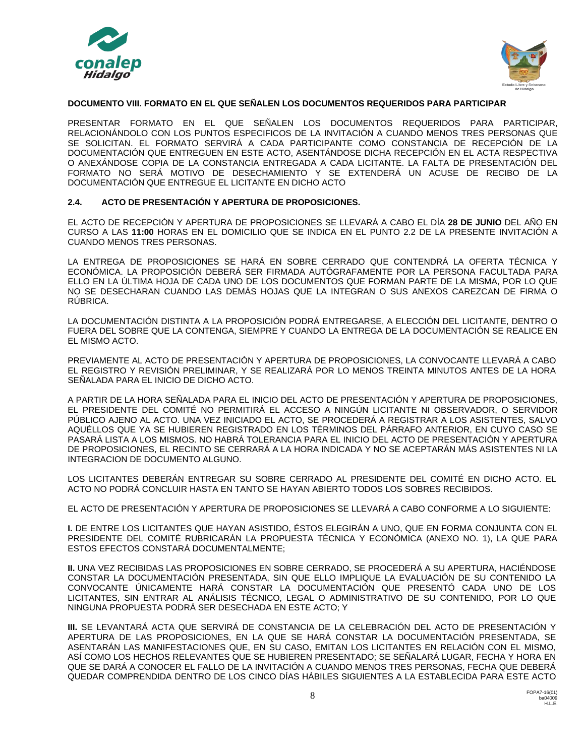



## **DOCUMENTO VIII. FORMATO EN EL QUE SEÑALEN LOS DOCUMENTOS REQUERIDOS PARA PARTICIPAR**

PRESENTAR FORMATO EN EL QUE SEÑALEN LOS DOCUMENTOS REQUERIDOS PARA PARTICIPAR, RELACIONÁNDOLO CON LOS PUNTOS ESPECIFICOS DE LA INVITACIÓN A CUANDO MENOS TRES PERSONAS QUE SE SOLICITAN. EL FORMATO SERVIRÁ A CADA PARTICIPANTE COMO CONSTANCIA DE RECEPCIÓN DE LA DOCUMENTACIÓN QUE ENTREGUEN EN ESTE ACTO, ASENTÁNDOSE DICHA RECEPCIÓN EN EL ACTA RESPECTIVA O ANEXÁNDOSE COPIA DE LA CONSTANCIA ENTREGADA A CADA LICITANTE. LA FALTA DE PRESENTACIÓN DEL FORMATO NO SERÁ MOTIVO DE DESECHAMIENTO Y SE EXTENDERÁ UN ACUSE DE RECIBO DE LA DOCUMENTACIÓN QUE ENTREGUE EL LICITANTE EN DICHO ACTO

# **2.4. ACTO DE PRESENTACIÓN Y APERTURA DE PROPOSICIONES.**

EL ACTO DE RECEPCIÓN Y APERTURA DE PROPOSICIONES SE LLEVARÁ A CABO EL DÍA **28 DE JUNIO** DEL AÑO EN CURSO A LAS **11:00** HORAS EN EL DOMICILIO QUE SE INDICA EN EL PUNTO 2.2 DE LA PRESENTE INVITACIÓN A CUANDO MENOS TRES PERSONAS.

LA ENTREGA DE PROPOSICIONES SE HARÁ EN SOBRE CERRADO QUE CONTENDRÁ LA OFERTA TÉCNICA Y ECONÓMICA. LA PROPOSICIÓN DEBERÁ SER FIRMADA AUTÓGRAFAMENTE POR LA PERSONA FACULTADA PARA ELLO EN LA ÚLTIMA HOJA DE CADA UNO DE LOS DOCUMENTOS QUE FORMAN PARTE DE LA MISMA, POR LO QUE NO SE DESECHARAN CUANDO LAS DEMÁS HOJAS QUE LA INTEGRAN O SUS ANEXOS CAREZCAN DE FIRMA O RÚBRICA.

LA DOCUMENTACIÓN DISTINTA A LA PROPOSICIÓN PODRÁ ENTREGARSE, A ELECCIÓN DEL LICITANTE, DENTRO O FUERA DEL SOBRE QUE LA CONTENGA, SIEMPRE Y CUANDO LA ENTREGA DE LA DOCUMENTACIÓN SE REALICE EN EL MISMO ACTO.

PREVIAMENTE AL ACTO DE PRESENTACIÓN Y APERTURA DE PROPOSICIONES, LA CONVOCANTE LLEVARÁ A CABO EL REGISTRO Y REVISIÓN PRELIMINAR, Y SE REALIZARÁ POR LO MENOS TREINTA MINUTOS ANTES DE LA HORA SEÑALADA PARA EL INICIO DE DICHO ACTO.

A PARTIR DE LA HORA SEÑALADA PARA EL INICIO DEL ACTO DE PRESENTACIÓN Y APERTURA DE PROPOSICIONES, EL PRESIDENTE DEL COMITÉ NO PERMITIRÁ EL ACCESO A NINGÚN LICITANTE NI OBSERVADOR, O SERVIDOR PÚBLICO AJENO AL ACTO. UNA VEZ INICIADO EL ACTO, SE PROCEDERÁ A REGISTRAR A LOS ASISTENTES, SALVO AQUÉLLOS QUE YA SE HUBIEREN REGISTRADO EN LOS TÉRMINOS DEL PÁRRAFO ANTERIOR, EN CUYO CASO SE PASARÁ LISTA A LOS MISMOS. NO HABRÁ TOLERANCIA PARA EL INICIO DEL ACTO DE PRESENTACIÓN Y APERTURA DE PROPOSICIONES, EL RECINTO SE CERRARÁ A LA HORA INDICADA Y NO SE ACEPTARÁN MÁS ASISTENTES NI LA INTEGRACION DE DOCUMENTO ALGUNO.

LOS LICITANTES DEBERÁN ENTREGAR SU SOBRE CERRADO AL PRESIDENTE DEL COMITÉ EN DICHO ACTO. EL ACTO NO PODRÁ CONCLUIR HASTA EN TANTO SE HAYAN ABIERTO TODOS LOS SOBRES RECIBIDOS.

EL ACTO DE PRESENTACIÓN Y APERTURA DE PROPOSICIONES SE LLEVARÁ A CABO CONFORME A LO SIGUIENTE:

**I.** DE ENTRE LOS LICITANTES QUE HAYAN ASISTIDO, ÉSTOS ELEGIRÁN A UNO, QUE EN FORMA CONJUNTA CON EL PRESIDENTE DEL COMITÉ RUBRICARÁN LA PROPUESTA TÉCNICA Y ECONÓMICA (ANEXO NO. 1), LA QUE PARA ESTOS EFECTOS CONSTARÁ DOCUMENTALMENTE;

**II.** UNA VEZ RECIBIDAS LAS PROPOSICIONES EN SOBRE CERRADO, SE PROCEDERÁ A SU APERTURA, HACIÉNDOSE CONSTAR LA DOCUMENTACIÓN PRESENTADA, SIN QUE ELLO IMPLIQUE LA EVALUACIÓN DE SU CONTENIDO LA CONVOCANTE ÚNICAMENTE HARÁ CONSTAR LA DOCUMENTACIÓN QUE PRESENTÓ CADA UNO DE LOS LICITANTES, SIN ENTRAR AL ANÁLISIS TÉCNICO, LEGAL O ADMINISTRATIVO DE SU CONTENIDO, POR LO QUE NINGUNA PROPUESTA PODRÁ SER DESECHADA EN ESTE ACTO; Y

**III.** SE LEVANTARÁ ACTA QUE SERVIRÁ DE CONSTANCIA DE LA CELEBRACIÓN DEL ACTO DE PRESENTACIÓN Y APERTURA DE LAS PROPOSICIONES, EN LA QUE SE HARÁ CONSTAR LA DOCUMENTACIÓN PRESENTADA, SE ASENTARÁN LAS MANIFESTACIONES QUE, EN SU CASO, EMITAN LOS LICITANTES EN RELACIÓN CON EL MISMO, ASÍ COMO LOS HECHOS RELEVANTES QUE SE HUBIEREN PRESENTADO; SE SEÑALARÁ LUGAR, FECHA Y HORA EN QUE SE DARÁ A CONOCER EL FALLO DE LA INVITACIÓN A CUANDO MENOS TRES PERSONAS, FECHA QUE DEBERÁ QUEDAR COMPRENDIDA DENTRO DE LOS CINCO DÍAS HÁBILES SIGUIENTES A LA ESTABLECIDA PARA ESTE ACTO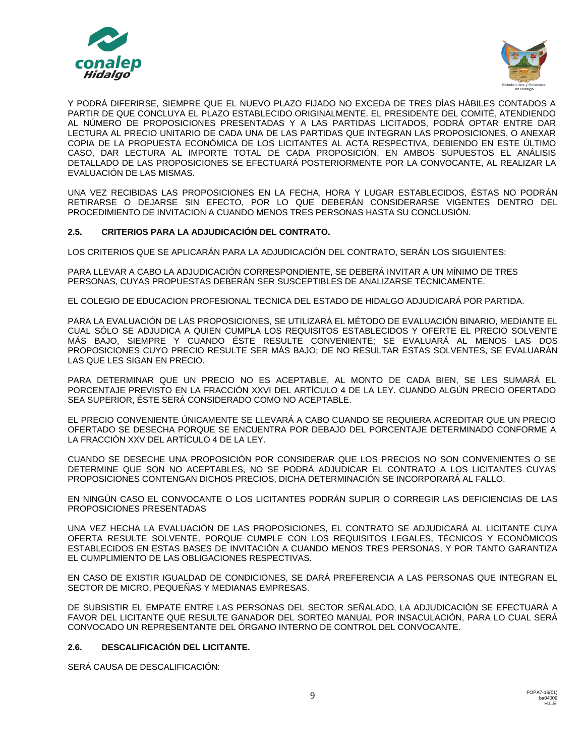



Y PODRÁ DIFERIRSE, SIEMPRE QUE EL NUEVO PLAZO FIJADO NO EXCEDA DE TRES DÍAS HÁBILES CONTADOS A PARTIR DE QUE CONCLUYA EL PLAZO ESTABLECIDO ORIGINALMENTE. EL PRESIDENTE DEL COMITÉ, ATENDIENDO AL NÚMERO DE PROPOSICIONES PRESENTADAS Y A LAS PARTIDAS LICITADOS, PODRÁ OPTAR ENTRE DAR LECTURA AL PRECIO UNITARIO DE CADA UNA DE LAS PARTIDAS QUE INTEGRAN LAS PROPOSICIONES, O ANEXAR COPIA DE LA PROPUESTA ECONÓMICA DE LOS LICITANTES AL ACTA RESPECTIVA, DEBIENDO EN ESTE ÚLTIMO CASO, DAR LECTURA AL IMPORTE TOTAL DE CADA PROPOSICIÓN. EN AMBOS SUPUESTOS EL ANÁLISIS DETALLADO DE LAS PROPOSICIONES SE EFECTUARÁ POSTERIORMENTE POR LA CONVOCANTE, AL REALIZAR LA EVALUACIÓN DE LAS MISMAS.

UNA VEZ RECIBIDAS LAS PROPOSICIONES EN LA FECHA, HORA Y LUGAR ESTABLECIDOS, ÉSTAS NO PODRÁN RETIRARSE O DEJARSE SIN EFECTO, POR LO QUE DEBERÁN CONSIDERARSE VIGENTES DENTRO DEL PROCEDIMIENTO DE INVITACION A CUANDO MENOS TRES PERSONAS HASTA SU CONCLUSIÓN.

# **2.5. CRITERIOS PARA LA ADJUDICACIÓN DEL CONTRATO.**

LOS CRITERIOS QUE SE APLICARÁN PARA LA ADJUDICACIÓN DEL CONTRATO, SERÁN LOS SIGUIENTES:

PARA LLEVAR A CABO LA ADJUDICACIÓN CORRESPONDIENTE, SE DEBERÁ INVITAR A UN MÍNIMO DE TRES PERSONAS, CUYAS PROPUESTAS DEBERÁN SER SUSCEPTIBLES DE ANALIZARSE TÉCNICAMENTE.

EL COLEGIO DE EDUCACION PROFESIONAL TECNICA DEL ESTADO DE HIDALGO ADJUDICARÁ POR PARTIDA.

PARA LA EVALUACIÓN DE LAS PROPOSICIONES, SE UTILIZARÁ EL MÉTODO DE EVALUACIÓN BINARIO, MEDIANTE EL CUAL SÓLO SE ADJUDICA A QUIEN CUMPLA LOS REQUISITOS ESTABLECIDOS Y OFERTE EL PRECIO SOLVENTE MÁS BAJO, SIEMPRE Y CUANDO ÉSTE RESULTE CONVENIENTE; SE EVALUARÁ AL MENOS LAS DOS PROPOSICIONES CUYO PRECIO RESULTE SER MÁS BAJO; DE NO RESULTAR ÉSTAS SOLVENTES, SE EVALUARÁN LAS QUE LES SIGAN EN PRECIO.

PARA DETERMINAR QUE UN PRECIO NO ES ACEPTABLE, AL MONTO DE CADA BIEN, SE LES SUMARÁ EL PORCENTAJE PREVISTO EN LA FRACCIÓN XXVI DEL ARTÍCULO 4 DE LA LEY. CUANDO ALGÚN PRECIO OFERTADO SEA SUPERIOR, ÉSTE SERÁ CONSIDERADO COMO NO ACEPTABLE.

EL PRECIO CONVENIENTE ÚNICAMENTE SE LLEVARÁ A CABO CUANDO SE REQUIERA ACREDITAR QUE UN PRECIO OFERTADO SE DESECHA PORQUE SE ENCUENTRA POR DEBAJO DEL PORCENTAJE DETERMINADO CONFORME A LA FRACCIÓN XXV DEL ARTÍCULO 4 DE LA LEY.

CUANDO SE DESECHE UNA PROPOSICIÓN POR CONSIDERAR QUE LOS PRECIOS NO SON CONVENIENTES O SE DETERMINE QUE SON NO ACEPTABLES, NO SE PODRÁ ADJUDICAR EL CONTRATO A LOS LICITANTES CUYAS PROPOSICIONES CONTENGAN DICHOS PRECIOS, DICHA DETERMINACIÓN SE INCORPORARÁ AL FALLO.

EN NINGÚN CASO EL CONVOCANTE O LOS LICITANTES PODRÁN SUPLIR O CORREGIR LAS DEFICIENCIAS DE LAS PROPOSICIONES PRESENTADAS

UNA VEZ HECHA LA EVALUACIÓN DE LAS PROPOSICIONES, EL CONTRATO SE ADJUDICARÁ AL LICITANTE CUYA OFERTA RESULTE SOLVENTE, PORQUE CUMPLE CON LOS REQUISITOS LEGALES, TÉCNICOS Y ECONÓMICOS ESTABLECIDOS EN ESTAS BASES DE INVITACIÓN A CUANDO MENOS TRES PERSONAS, Y POR TANTO GARANTIZA EL CUMPLIMIENTO DE LAS OBLIGACIONES RESPECTIVAS.

EN CASO DE EXISTIR IGUALDAD DE CONDICIONES, SE DARÁ PREFERENCIA A LAS PERSONAS QUE INTEGRAN EL SECTOR DE MICRO, PEQUEÑAS Y MEDIANAS EMPRESAS.

DE SUBSISTIR EL EMPATE ENTRE LAS PERSONAS DEL SECTOR SEÑALADO, LA ADJUDICACIÓN SE EFECTUARÁ A FAVOR DEL LICITANTE QUE RESULTE GANADOR DEL SORTEO MANUAL POR INSACULACIÓN, PARA LO CUAL SERÁ CONVOCADO UN REPRESENTANTE DEL ÓRGANO INTERNO DE CONTROL DEL CONVOCANTE.

## **2.6. DESCALIFICACIÓN DEL LICITANTE.**

SERÁ CAUSA DE DESCALIFICACIÓN: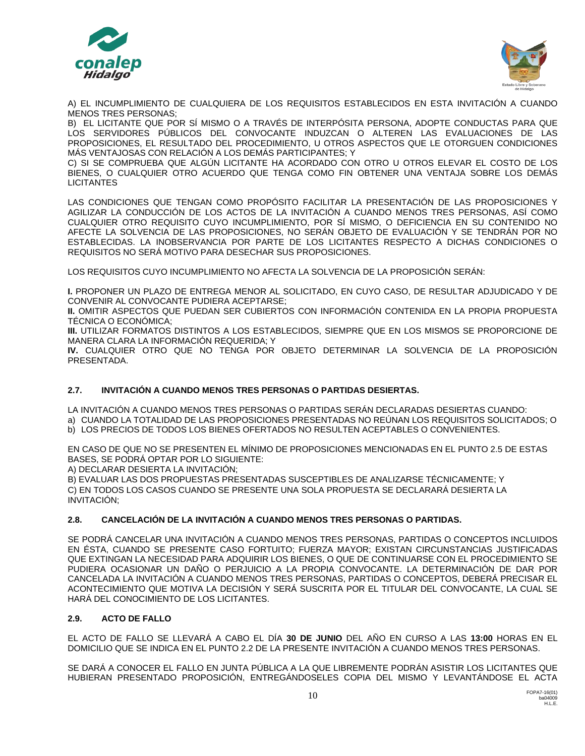



A) EL INCUMPLIMIENTO DE CUALQUIERA DE LOS REQUISITOS ESTABLECIDOS EN ESTA INVITACIÓN A CUANDO MENOS TRES PERSONAS;

B) EL LICITANTE QUE POR SÍ MISMO O A TRAVÉS DE INTERPÓSITA PERSONA, ADOPTE CONDUCTAS PARA QUE LOS SERVIDORES PÚBLICOS DEL CONVOCANTE INDUZCAN O ALTEREN LAS EVALUACIONES DE LAS PROPOSICIONES, EL RESULTADO DEL PROCEDIMIENTO, U OTROS ASPECTOS QUE LE OTORGUEN CONDICIONES MÁS VENTAJOSAS CON RELACIÓN A LOS DEMÁS PARTICIPANTES; Y

C) SI SE COMPRUEBA QUE ALGÚN LICITANTE HA ACORDADO CON OTRO U OTROS ELEVAR EL COSTO DE LOS BIENES, O CUALQUIER OTRO ACUERDO QUE TENGA COMO FIN OBTENER UNA VENTAJA SOBRE LOS DEMÁS **LICITANTES** 

LAS CONDICIONES QUE TENGAN COMO PROPÓSITO FACILITAR LA PRESENTACIÓN DE LAS PROPOSICIONES Y AGILIZAR LA CONDUCCIÓN DE LOS ACTOS DE LA INVITACIÓN A CUANDO MENOS TRES PERSONAS, ASÍ COMO CUALQUIER OTRO REQUISITO CUYO INCUMPLIMIENTO, POR SÍ MISMO, O DEFICIENCIA EN SU CONTENIDO NO AFECTE LA SOLVENCIA DE LAS PROPOSICIONES, NO SERÁN OBJETO DE EVALUACIÓN Y SE TENDRÁN POR NO ESTABLECIDAS. LA INOBSERVANCIA POR PARTE DE LOS LICITANTES RESPECTO A DICHAS CONDICIONES O REQUISITOS NO SERÁ MOTIVO PARA DESECHAR SUS PROPOSICIONES.

LOS REQUISITOS CUYO INCUMPLIMIENTO NO AFECTA LA SOLVENCIA DE LA PROPOSICIÓN SERÁN:

**I.** PROPONER UN PLAZO DE ENTREGA MENOR AL SOLICITADO, EN CUYO CASO, DE RESULTAR ADJUDICADO Y DE CONVENIR AL CONVOCANTE PUDIERA ACEPTARSE;

**II.** OMITIR ASPECTOS QUE PUEDAN SER CUBIERTOS CON INFORMACIÓN CONTENIDA EN LA PROPIA PROPUESTA TÉCNICA O ECONÓMICA;

**III.** UTILIZAR FORMATOS DISTINTOS A LOS ESTABLECIDOS, SIEMPRE QUE EN LOS MISMOS SE PROPORCIONE DE MANERA CLARA LA INFORMACIÓN REQUERIDA; Y

**IV.** CUALQUIER OTRO QUE NO TENGA POR OBJETO DETERMINAR LA SOLVENCIA DE LA PROPOSICIÓN PRESENTADA.

# **2.7. INVITACIÓN A CUANDO MENOS TRES PERSONAS O PARTIDAS DESIERTAS.**

LA INVITACIÓN A CUANDO MENOS TRES PERSONAS O PARTIDAS SERÁN DECLARADAS DESIERTAS CUANDO: a) CUANDO LA TOTALIDAD DE LAS PROPOSICIONES PRESENTADAS NO REÚNAN LOS REQUISITOS SOLICITADOS; O b) LOS PRECIOS DE TODOS LOS BIENES OFERTADOS NO RESULTEN ACEPTABLES O CONVENIENTES.

EN CASO DE QUE NO SE PRESENTEN EL MÍNIMO DE PROPOSICIONES MENCIONADAS EN EL PUNTO 2.5 DE ESTAS BASES, SE PODRÁ OPTAR POR LO SIGUIENTE:

A) DECLARAR DESIERTA LA INVITACIÓN;

B) EVALUAR LAS DOS PROPUESTAS PRESENTADAS SUSCEPTIBLES DE ANALIZARSE TÉCNICAMENTE; Y C) EN TODOS LOS CASOS CUANDO SE PRESENTE UNA SOLA PROPUESTA SE DECLARARÁ DESIERTA LA INVITACIÓN;

# **2.8. CANCELACIÓN DE LA INVITACIÓN A CUANDO MENOS TRES PERSONAS O PARTIDAS.**

SE PODRÁ CANCELAR UNA INVITACIÓN A CUANDO MENOS TRES PERSONAS, PARTIDAS O CONCEPTOS INCLUIDOS EN ÉSTA, CUANDO SE PRESENTE CASO FORTUITO; FUERZA MAYOR; EXISTAN CIRCUNSTANCIAS JUSTIFICADAS QUE EXTINGAN LA NECESIDAD PARA ADQUIRIR LOS BIENES, O QUE DE CONTINUARSE CON EL PROCEDIMIENTO SE PUDIERA OCASIONAR UN DAÑO O PERJUICIO A LA PROPIA CONVOCANTE. LA DETERMINACIÓN DE DAR POR CANCELADA LA INVITACIÓN A CUANDO MENOS TRES PERSONAS, PARTIDAS O CONCEPTOS, DEBERÁ PRECISAR EL ACONTECIMIENTO QUE MOTIVA LA DECISIÓN Y SERÁ SUSCRITA POR EL TITULAR DEL CONVOCANTE, LA CUAL SE HARÁ DEL CONOCIMIENTO DE LOS LICITANTES.

# **2.9. ACTO DE FALLO**

EL ACTO DE FALLO SE LLEVARÁ A CABO EL DÍA **30 DE JUNIO** DEL AÑO EN CURSO A LAS **13:00** HORAS EN EL DOMICILIO QUE SE INDICA EN EL PUNTO 2.2 DE LA PRESENTE INVITACIÓN A CUANDO MENOS TRES PERSONAS.

SE DARÁ A CONOCER EL FALLO EN JUNTA PÚBLICA A LA QUE LIBREMENTE PODRÁN ASISTIR LOS LICITANTES QUE HUBIERAN PRESENTADO PROPOSICIÓN, ENTREGÁNDOSELES COPIA DEL MISMO Y LEVANTÁNDOSE EL ACTA

10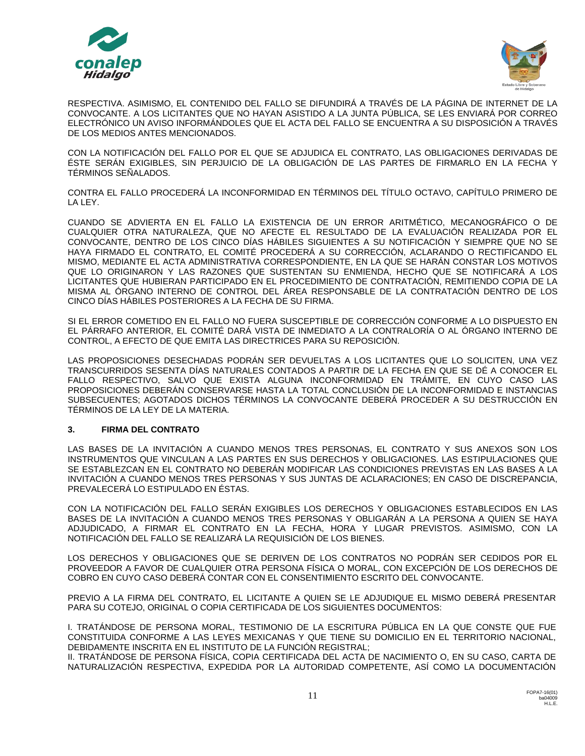



RESPECTIVA. ASIMISMO, EL CONTENIDO DEL FALLO SE DIFUNDIRÁ A TRAVÉS DE LA PÁGINA DE INTERNET DE LA CONVOCANTE. A LOS LICITANTES QUE NO HAYAN ASISTIDO A LA JUNTA PÚBLICA, SE LES ENVIARÁ POR CORREO ELECTRÓNICO UN AVISO INFORMÁNDOLES QUE EL ACTA DEL FALLO SE ENCUENTRA A SU DISPOSICIÓN A TRAVÉS DE LOS MEDIOS ANTES MENCIONADOS.

CON LA NOTIFICACIÓN DEL FALLO POR EL QUE SE ADJUDICA EL CONTRATO, LAS OBLIGACIONES DERIVADAS DE ÉSTE SERÁN EXIGIBLES, SIN PERJUICIO DE LA OBLIGACIÓN DE LAS PARTES DE FIRMARLO EN LA FECHA Y TÉRMINOS SEÑALADOS.

CONTRA EL FALLO PROCEDERÁ LA INCONFORMIDAD EN TÉRMINOS DEL TÍTULO OCTAVO, CAPÍTULO PRIMERO DE LA LEY.

CUANDO SE ADVIERTA EN EL FALLO LA EXISTENCIA DE UN ERROR ARITMÉTICO, MECANOGRÁFICO O DE CUALQUIER OTRA NATURALEZA, QUE NO AFECTE EL RESULTADO DE LA EVALUACIÓN REALIZADA POR EL CONVOCANTE, DENTRO DE LOS CINCO DÍAS HÁBILES SIGUIENTES A SU NOTIFICACIÓN Y SIEMPRE QUE NO SE HAYA FIRMADO EL CONTRATO, EL COMITÉ PROCEDERÁ A SU CORRECCIÓN, ACLARANDO O RECTIFICANDO EL MISMO, MEDIANTE EL ACTA ADMINISTRATIVA CORRESPONDIENTE, EN LA QUE SE HARÁN CONSTAR LOS MOTIVOS QUE LO ORIGINARON Y LAS RAZONES QUE SUSTENTAN SU ENMIENDA, HECHO QUE SE NOTIFICARÁ A LOS LICITANTES QUE HUBIERAN PARTICIPADO EN EL PROCEDIMIENTO DE CONTRATACIÓN, REMITIENDO COPIA DE LA MISMA AL ÓRGANO INTERNO DE CONTROL DEL ÁREA RESPONSABLE DE LA CONTRATACIÓN DENTRO DE LOS CINCO DÍAS HÁBILES POSTERIORES A LA FECHA DE SU FIRMA.

SI EL ERROR COMETIDO EN EL FALLO NO FUERA SUSCEPTIBLE DE CORRECCIÓN CONFORME A LO DISPUESTO EN EL PÁRRAFO ANTERIOR, EL COMITÉ DARÁ VISTA DE INMEDIATO A LA CONTRALORÍA O AL ÓRGANO INTERNO DE CONTROL, A EFECTO DE QUE EMITA LAS DIRECTRICES PARA SU REPOSICIÓN.

LAS PROPOSICIONES DESECHADAS PODRÁN SER DEVUELTAS A LOS LICITANTES QUE LO SOLICITEN, UNA VEZ TRANSCURRIDOS SESENTA DÍAS NATURALES CONTADOS A PARTIR DE LA FECHA EN QUE SE DÉ A CONOCER EL FALLO RESPECTIVO, SALVO QUE EXISTA ALGUNA INCONFORMIDAD EN TRÁMITE, EN CUYO CASO LAS PROPOSICIONES DEBERÁN CONSERVARSE HASTA LA TOTAL CONCLUSIÓN DE LA INCONFORMIDAD E INSTANCIAS SUBSECUENTES; AGOTADOS DICHOS TÉRMINOS LA CONVOCANTE DEBERÁ PROCEDER A SU DESTRUCCIÓN EN TÉRMINOS DE LA LEY DE LA MATERIA.

## **3. FIRMA DEL CONTRATO**

LAS BASES DE LA INVITACIÓN A CUANDO MENOS TRES PERSONAS, EL CONTRATO Y SUS ANEXOS SON LOS INSTRUMENTOS QUE VINCULAN A LAS PARTES EN SUS DERECHOS Y OBLIGACIONES. LAS ESTIPULACIONES QUE SE ESTABLEZCAN EN EL CONTRATO NO DEBERÁN MODIFICAR LAS CONDICIONES PREVISTAS EN LAS BASES A LA INVITACIÓN A CUANDO MENOS TRES PERSONAS Y SUS JUNTAS DE ACLARACIONES; EN CASO DE DISCREPANCIA, PREVALECERÁ LO ESTIPULADO EN ÉSTAS.

CON LA NOTIFICACIÓN DEL FALLO SERÁN EXIGIBLES LOS DERECHOS Y OBLIGACIONES ESTABLECIDOS EN LAS BASES DE LA INVITACIÓN A CUANDO MENOS TRES PERSONAS Y OBLIGARÁN A LA PERSONA A QUIEN SE HAYA ADJUDICADO, A FIRMAR EL CONTRATO EN LA FECHA, HORA Y LUGAR PREVISTOS. ASIMISMO, CON LA NOTIFICACIÓN DEL FALLO SE REALIZARÁ LA REQUISICIÓN DE LOS BIENES.

LOS DERECHOS Y OBLIGACIONES QUE SE DERIVEN DE LOS CONTRATOS NO PODRÁN SER CEDIDOS POR EL PROVEEDOR A FAVOR DE CUALQUIER OTRA PERSONA FÍSICA O MORAL, CON EXCEPCIÓN DE LOS DERECHOS DE COBRO EN CUYO CASO DEBERÁ CONTAR CON EL CONSENTIMIENTO ESCRITO DEL CONVOCANTE.

PREVIO A LA FIRMA DEL CONTRATO, EL LICITANTE A QUIEN SE LE ADJUDIQUE EL MISMO DEBERÁ PRESENTAR PARA SU COTEJO, ORIGINAL O COPIA CERTIFICADA DE LOS SIGUIENTES DOCUMENTOS:

I. TRATÁNDOSE DE PERSONA MORAL, TESTIMONIO DE LA ESCRITURA PÚBLICA EN LA QUE CONSTE QUE FUE CONSTITUIDA CONFORME A LAS LEYES MEXICANAS Y QUE TIENE SU DOMICILIO EN EL TERRITORIO NACIONAL, DEBIDAMENTE INSCRITA EN EL INSTITUTO DE LA FUNCIÓN REGISTRAL;

II. TRATÁNDOSE DE PERSONA FÍSICA, COPIA CERTIFICADA DEL ACTA DE NACIMIENTO O, EN SU CASO, CARTA DE NATURALIZACIÓN RESPECTIVA, EXPEDIDA POR LA AUTORIDAD COMPETENTE, ASÍ COMO LA DOCUMENTACIÓN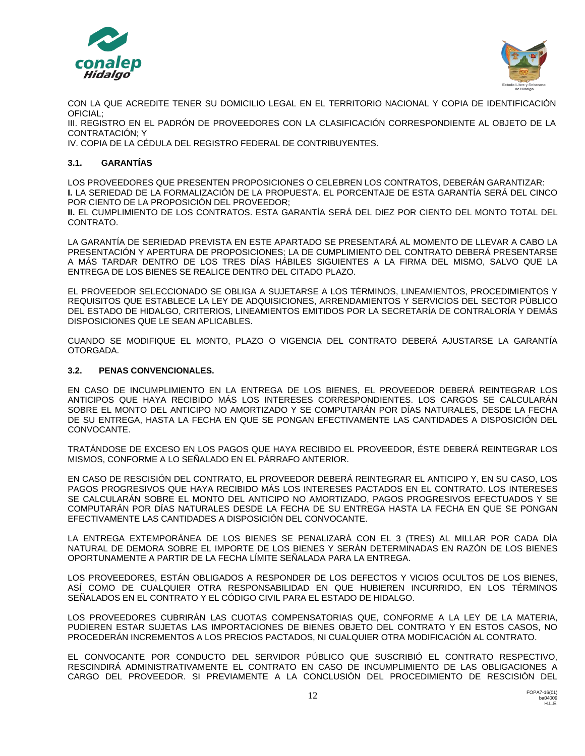



CON LA QUE ACREDITE TENER SU DOMICILIO LEGAL EN EL TERRITORIO NACIONAL Y COPIA DE IDENTIFICACIÓN OFICIAL;

III. REGISTRO EN EL PADRÓN DE PROVEEDORES CON LA CLASIFICACIÓN CORRESPONDIENTE AL OBJETO DE LA CONTRATACIÓN; Y

IV. COPIA DE LA CÉDULA DEL REGISTRO FEDERAL DE CONTRIBUYENTES.

# **3.1. GARANTÍAS**

LOS PROVEEDORES QUE PRESENTEN PROPOSICIONES O CELEBREN LOS CONTRATOS, DEBERÁN GARANTIZAR: **I.** LA SERIEDAD DE LA FORMALIZACIÓN DE LA PROPUESTA. EL PORCENTAJE DE ESTA GARANTÍA SERÁ DEL CINCO POR CIENTO DE LA PROPOSICIÓN DEL PROVEEDOR;

**II.** EL CUMPLIMIENTO DE LOS CONTRATOS. ESTA GARANTÍA SERÁ DEL DIEZ POR CIENTO DEL MONTO TOTAL DEL CONTRATO.

LA GARANTÍA DE SERIEDAD PREVISTA EN ESTE APARTADO SE PRESENTARÁ AL MOMENTO DE LLEVAR A CABO LA PRESENTACIÓN Y APERTURA DE PROPOSICIONES; LA DE CUMPLIMIENTO DEL CONTRATO DEBERÁ PRESENTARSE A MÁS TARDAR DENTRO DE LOS TRES DÍAS HÁBILES SIGUIENTES A LA FIRMA DEL MISMO, SALVO QUE LA ENTREGA DE LOS BIENES SE REALICE DENTRO DEL CITADO PLAZO.

EL PROVEEDOR SELECCIONADO SE OBLIGA A SUJETARSE A LOS TÉRMINOS, LINEAMIENTOS, PROCEDIMIENTOS Y REQUISITOS QUE ESTABLECE LA LEY DE ADQUISICIONES, ARRENDAMIENTOS Y SERVICIOS DEL SECTOR PÙBLICO DEL ESTADO DE HIDALGO, CRITERIOS, LINEAMIENTOS EMITIDOS POR LA SECRETARÍA DE CONTRALORÍA Y DEMÁS DISPOSICIONES QUE LE SEAN APLICABLES.

CUANDO SE MODIFIQUE EL MONTO, PLAZO O VIGENCIA DEL CONTRATO DEBERÁ AJUSTARSE LA GARANTÍA OTORGADA.

# **3.2. PENAS CONVENCIONALES.**

EN CASO DE INCUMPLIMIENTO EN LA ENTREGA DE LOS BIENES, EL PROVEEDOR DEBERÁ REINTEGRAR LOS ANTICIPOS QUE HAYA RECIBIDO MÁS LOS INTERESES CORRESPONDIENTES. LOS CARGOS SE CALCULARÁN SOBRE EL MONTO DEL ANTICIPO NO AMORTIZADO Y SE COMPUTARÁN POR DÍAS NATURALES, DESDE LA FECHA DE SU ENTREGA, HASTA LA FECHA EN QUE SE PONGAN EFECTIVAMENTE LAS CANTIDADES A DISPOSICIÓN DEL CONVOCANTE.

TRATÁNDOSE DE EXCESO EN LOS PAGOS QUE HAYA RECIBIDO EL PROVEEDOR, ÉSTE DEBERÁ REINTEGRAR LOS MISMOS, CONFORME A LO SEÑALADO EN EL PÁRRAFO ANTERIOR.

EN CASO DE RESCISIÓN DEL CONTRATO, EL PROVEEDOR DEBERÁ REINTEGRAR EL ANTICIPO Y, EN SU CASO, LOS PAGOS PROGRESIVOS QUE HAYA RECIBIDO MÁS LOS INTERESES PACTADOS EN EL CONTRATO. LOS INTERESES SE CALCULARÁN SOBRE EL MONTO DEL ANTICIPO NO AMORTIZADO, PAGOS PROGRESIVOS EFECTUADOS Y SE COMPUTARÁN POR DÍAS NATURALES DESDE LA FECHA DE SU ENTREGA HASTA LA FECHA EN QUE SE PONGAN EFECTIVAMENTE LAS CANTIDADES A DISPOSICIÓN DEL CONVOCANTE.

LA ENTREGA EXTEMPORÁNEA DE LOS BIENES SE PENALIZARÁ CON EL 3 (TRES) AL MILLAR POR CADA DÍA NATURAL DE DEMORA SOBRE EL IMPORTE DE LOS BIENES Y SERÁN DETERMINADAS EN RAZÓN DE LOS BIENES OPORTUNAMENTE A PARTIR DE LA FECHA LÍMITE SEÑALADA PARA LA ENTREGA.

LOS PROVEEDORES, ESTÁN OBLIGADOS A RESPONDER DE LOS DEFECTOS Y VICIOS OCULTOS DE LOS BIENES, ASÍ COMO DE CUALQUIER OTRA RESPONSABILIDAD EN QUE HUBIEREN INCURRIDO, EN LOS TÉRMINOS SEÑALADOS EN EL CONTRATO Y EL CÓDIGO CIVIL PARA EL ESTADO DE HIDALGO.

LOS PROVEEDORES CUBRIRÁN LAS CUOTAS COMPENSATORIAS QUE, CONFORME A LA LEY DE LA MATERIA, PUDIEREN ESTAR SUJETAS LAS IMPORTACIONES DE BIENES OBJETO DEL CONTRATO Y EN ESTOS CASOS, NO PROCEDERÁN INCREMENTOS A LOS PRECIOS PACTADOS, NI CUALQUIER OTRA MODIFICACIÓN AL CONTRATO.

EL CONVOCANTE POR CONDUCTO DEL SERVIDOR PÚBLICO QUE SUSCRIBIÓ EL CONTRATO RESPECTIVO, RESCINDIRÁ ADMINISTRATIVAMENTE EL CONTRATO EN CASO DE INCUMPLIMIENTO DE LAS OBLIGACIONES A CARGO DEL PROVEEDOR. SI PREVIAMENTE A LA CONCLUSIÓN DEL PROCEDIMIENTO DE RESCISIÓN DEL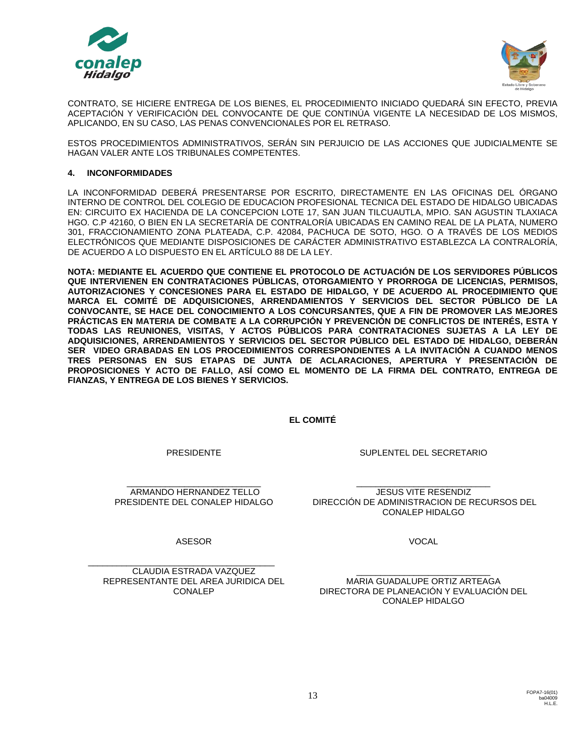



CONTRATO, SE HICIERE ENTREGA DE LOS BIENES, EL PROCEDIMIENTO INICIADO QUEDARÁ SIN EFECTO, PREVIA ACEPTACIÓN Y VERIFICACIÓN DEL CONVOCANTE DE QUE CONTINÚA VIGENTE LA NECESIDAD DE LOS MISMOS, APLICANDO, EN SU CASO, LAS PENAS CONVENCIONALES POR EL RETRASO.

ESTOS PROCEDIMIENTOS ADMINISTRATIVOS, SERÁN SIN PERJUICIO DE LAS ACCIONES QUE JUDICIALMENTE SE HAGAN VALER ANTE LOS TRIBUNALES COMPETENTES.

## **4. INCONFORMIDADES**

LA INCONFORMIDAD DEBERÁ PRESENTARSE POR ESCRITO, DIRECTAMENTE EN LAS OFICINAS DEL ÓRGANO INTERNO DE CONTROL DEL COLEGIO DE EDUCACION PROFESIONAL TECNICA DEL ESTADO DE HIDALGO UBICADAS EN: CIRCUITO EX HACIENDA DE LA CONCEPCION LOTE 17, SAN JUAN TILCUAUTLA, MPIO. SAN AGUSTIN TLAXIACA HGO. C.P 42160, O BIEN EN LA SECRETARÍA DE CONTRALORÍA UBICADAS EN CAMINO REAL DE LA PLATA, NUMERO 301, FRACCIONAMIENTO ZONA PLATEADA, C.P. 42084, PACHUCA DE SOTO, HGO. O A TRAVÉS DE LOS MEDIOS ELECTRÓNICOS QUE MEDIANTE DISPOSICIONES DE CARÁCTER ADMINISTRATIVO ESTABLEZCA LA CONTRALORÍA, DE ACUERDO A LO DISPUESTO EN EL ARTÍCULO 88 DE LA LEY.

**NOTA: MEDIANTE EL ACUERDO QUE CONTIENE EL PROTOCOLO DE ACTUACIÓN DE LOS SERVIDORES PÚBLICOS QUE INTERVIENEN EN CONTRATACIONES PÚBLICAS, OTORGAMIENTO Y PRORROGA DE LICENCIAS, PERMISOS, AUTORIZACIONES Y CONCESIONES PARA EL ESTADO DE HIDALGO, Y DE ACUERDO AL PROCEDIMIENTO QUE MARCA EL COMITÉ DE ADQUISICIONES, ARRENDAMIENTOS Y SERVICIOS DEL SECTOR PÚBLICO DE LA CONVOCANTE, SE HACE DEL CONOCIMIENTO A LOS CONCURSANTES, QUE A FIN DE PROMOVER LAS MEJORES PRÁCTICAS EN MATERIA DE COMBATE A LA CORRUPCIÓN Y PREVENCIÓN DE CONFLICTOS DE INTERÉS, ESTA Y TODAS LAS REUNIONES, VISITAS, Y ACTOS PÚBLICOS PARA CONTRATACIONES SUJETAS A LA LEY DE ADQUISICIONES, ARRENDAMIENTOS Y SERVICIOS DEL SECTOR PÚBLICO DEL ESTADO DE HIDALGO, DEBERÁN SER VIDEO GRABADAS EN LOS PROCEDIMIENTOS CORRESPONDIENTES A LA INVITACIÓN A CUANDO MENOS TRES PERSONAS EN SUS ETAPAS DE JUNTA DE ACLARACIONES, APERTURA Y PRESENTACIÓN DE PROPOSICIONES Y ACTO DE FALLO, ASÍ COMO EL MOMENTO DE LA FIRMA DEL CONTRATO, ENTREGA DE FIANZAS, Y ENTREGA DE LOS BIENES Y SERVICIOS.**

**EL COMITÉ**

PRESIDENTE

\_\_\_\_\_\_\_\_\_\_\_\_\_\_\_\_\_\_\_\_\_\_\_\_\_\_\_\_ ARMANDO HERNANDEZ TELLO PRESIDENTE DEL CONALEP HIDALGO

DIRECCIÓN DE ADMINISTRACION DE RECURSOS DEL CONALEP HIDALGO

ASESOR

\_\_\_\_\_\_\_\_\_\_\_\_\_\_\_\_\_\_\_\_\_\_\_\_\_\_\_\_\_\_\_\_\_\_\_\_\_\_\_ CLAUDIA ESTRADA VAZQUEZ REPRESENTANTE DEL AREA JURIDICA DEL CONALEP

VOCAL

SUPLENTEL DEL SECRETARIO

\_\_\_\_\_\_\_\_\_\_\_\_\_\_\_\_\_\_\_\_\_\_\_\_\_\_\_\_ JESUS VITE RESENDIZ

\_\_\_\_\_\_\_\_\_\_\_\_\_\_\_\_\_\_\_\_\_\_\_\_\_\_\_\_ MARIA GUADALUPE ORTIZ ARTEAGA DIRECTORA DE PLANEACIÓN Y EVALUACIÓN DEL CONALEP HIDALGO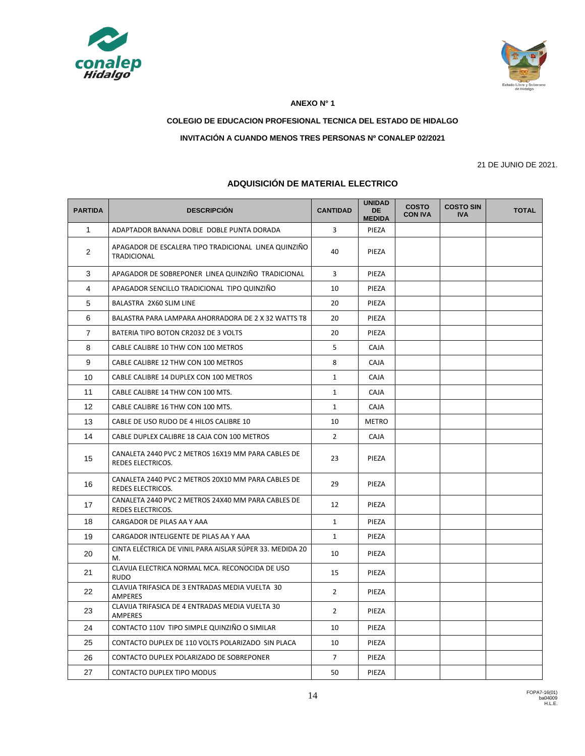



#### **ANEXO N° 1**

# **COLEGIO DE EDUCACION PROFESIONAL TECNICA DEL ESTADO DE HIDALGO**

## **INVITACIÓN A CUANDO MENOS TRES PERSONAS Nº CONALEP 02/2021**

21 DE JUNIO DE 2021.

| <b>PARTIDA</b>    | <b>DESCRIPCIÓN</b>                                                         | <b>CANTIDAD</b> | <b>UNIDAD</b><br><b>DE</b><br><b>MEDIDA</b> | <b>COSTO</b><br><b>CON IVA</b> | <b>COSTO SIN</b><br><b>IVA</b> | <b>TOTAL</b> |
|-------------------|----------------------------------------------------------------------------|-----------------|---------------------------------------------|--------------------------------|--------------------------------|--------------|
| $\mathbf{1}$      | ADAPTADOR BANANA DOBLE DOBLE PUNTA DORADA                                  | 3               | PIEZA                                       |                                |                                |              |
| $\overline{2}$    | APAGADOR DE ESCALERA TIPO TRADICIONAL LINEA QUINZIÑO<br><b>TRADICIONAL</b> | 40              | PIEZA                                       |                                |                                |              |
| 3                 | APAGADOR DE SOBREPONER LINEA QUINZIÑO TRADICIONAL                          | 3               | PIEZA                                       |                                |                                |              |
| 4                 | APAGADOR SENCILLO TRADICIONAL TIPO QUINZIÑO                                | 10              | PIEZA                                       |                                |                                |              |
| 5                 | BALASTRA 2X60 SLIM LINE                                                    | 20              | PIEZA                                       |                                |                                |              |
| 6                 | BALASTRA PARA LAMPARA AHORRADORA DE 2 X 32 WATTS T8                        | 20              | PIEZA                                       |                                |                                |              |
| $\overline{7}$    | BATERIA TIPO BOTON CR2032 DE 3 VOLTS                                       | 20              | PIEZA                                       |                                |                                |              |
| 8                 | CABLE CALIBRE 10 THW CON 100 METROS                                        | 5               | CAJA                                        |                                |                                |              |
| 9                 | CABLE CALIBRE 12 THW CON 100 METROS                                        | 8               | CAJA                                        |                                |                                |              |
| 10                | CABLE CALIBRE 14 DUPLEX CON 100 METROS                                     | $\mathbf{1}$    | CAJA                                        |                                |                                |              |
| 11                | CABLE CALIBRE 14 THW CON 100 MTS.                                          | $\mathbf{1}$    | CAJA                                        |                                |                                |              |
| $12 \overline{ }$ | CABLE CALIBRE 16 THW CON 100 MTS.                                          | $\mathbf{1}$    | CAJA                                        |                                |                                |              |
| 13                | CABLE DE USO RUDO DE 4 HILOS CALIBRE 10                                    | 10              | METRO                                       |                                |                                |              |
| 14                | CABLE DUPLEX CALIBRE 18 CAJA CON 100 METROS                                | $\overline{2}$  | <b>CAJA</b>                                 |                                |                                |              |
| 15                | CANALETA 2440 PVC 2 METROS 16X19 MM PARA CABLES DE<br>REDES ELECTRICOS.    | 23              | PIEZA                                       |                                |                                |              |
| 16                | CANALETA 2440 PVC 2 METROS 20X10 MM PARA CABLES DE<br>REDES ELECTRICOS.    | 29              | PIEZA                                       |                                |                                |              |
| 17                | CANALETA 2440 PVC 2 METROS 24X40 MM PARA CABLES DE<br>REDES ELECTRICOS.    | 12              | PIEZA                                       |                                |                                |              |
| 18                | CARGADOR DE PILAS AA Y AAA                                                 | $\mathbf{1}$    | PIEZA                                       |                                |                                |              |
| 19                | CARGADOR INTELIGENTE DE PILAS AA Y AAA                                     | $\mathbf{1}$    | PIEZA                                       |                                |                                |              |
| 20                | CINTA ELÉCTRICA DE VINIL PARA AISLAR SÚPER 33. MEDIDA 20<br>M.             | 10              | PIEZA                                       |                                |                                |              |
| 21                | CLAVIJA ELECTRICA NORMAL MCA. RECONOCIDA DE USO<br><b>RUDO</b>             | 15              | PIEZA                                       |                                |                                |              |
| 22                | CLAVIJA TRIFASICA DE 3 ENTRADAS MEDIA VUELTA 30<br><b>AMPERES</b>          | $\overline{2}$  | PIEZA                                       |                                |                                |              |
| 23                | CLAVIJA TRIFASICA DE 4 ENTRADAS MEDIA VUELTA 30<br>AMPERES                 | $\overline{2}$  | PIEZA                                       |                                |                                |              |
| 24                | CONTACTO 110V TIPO SIMPLE QUINZIÑO O SIMILAR                               | 10              | PIEZA                                       |                                |                                |              |
| 25                | CONTACTO DUPLEX DE 110 VOLTS POLARIZADO SIN PLACA                          | 10              | PIEZA                                       |                                |                                |              |
| 26                | CONTACTO DUPLEX POLARIZADO DE SOBREPONER                                   | $\overline{7}$  | PIEZA                                       |                                |                                |              |
| 27                | <b>CONTACTO DUPLEX TIPO MODUS</b>                                          | 50              | PIEZA                                       |                                |                                |              |

# **ADQUISICIÓN DE MATERIAL ELECTRICO**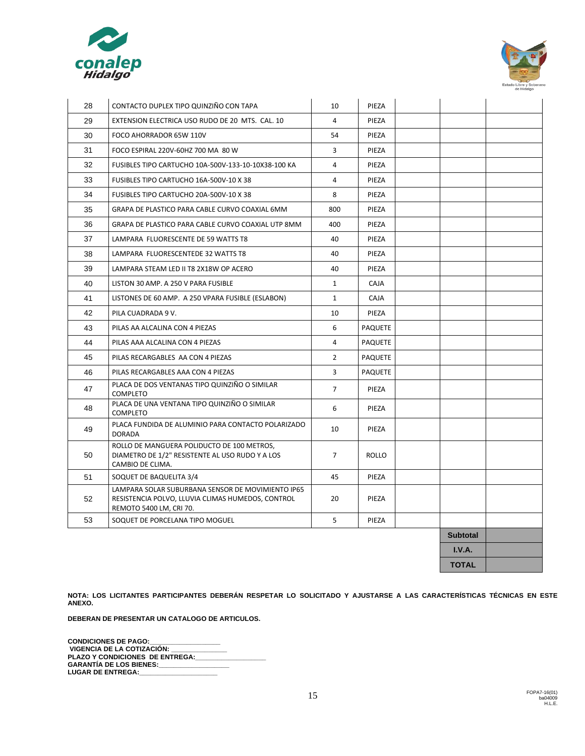



| 28 | CONTACTO DUPLEX TIPO QUINZIÑO CON TAPA                                                                                            | 10             | PIEZA          |                 |  |
|----|-----------------------------------------------------------------------------------------------------------------------------------|----------------|----------------|-----------------|--|
| 29 | EXTENSION ELECTRICA USO RUDO DE 20 MTS. CAL. 10                                                                                   | 4              | PIEZA          |                 |  |
| 30 | FOCO AHORRADOR 65W 110V                                                                                                           | 54             | PIEZA          |                 |  |
| 31 | FOCO ESPIRAL 220V-60HZ 700 MA 80 W                                                                                                | 3              | PIEZA          |                 |  |
| 32 | FUSIBLES TIPO CARTUCHO 10A-500V-133-10-10X38-100 KA                                                                               | 4              | PIEZA          |                 |  |
| 33 | FUSIBLES TIPO CARTUCHO 16A-500V-10 X 38                                                                                           | $\overline{4}$ | PIEZA          |                 |  |
| 34 | FUSIBLES TIPO CARTUCHO 20A-500V-10 X 38                                                                                           | 8              | PIEZA          |                 |  |
| 35 | GRAPA DE PLASTICO PARA CABLE CURVO COAXIAL 6MM                                                                                    | 800            | PIEZA          |                 |  |
| 36 | GRAPA DE PLASTICO PARA CABLE CURVO COAXIAL UTP 8MM                                                                                | 400            | PIEZA          |                 |  |
| 37 | LAMPARA FLUORESCENTE DE 59 WATTS T8                                                                                               | 40             | PIEZA          |                 |  |
| 38 | LAMPARA FLUORESCENTEDE 32 WATTS T8                                                                                                | 40             | PIEZA          |                 |  |
| 39 | LAMPARA STEAM LED II T8 2X18W OP ACERO                                                                                            | 40             | PIEZA          |                 |  |
| 40 | LISTON 30 AMP. A 250 V PARA FUSIBLE                                                                                               | $\mathbf{1}$   | <b>CAJA</b>    |                 |  |
| 41 | LISTONES DE 60 AMP. A 250 VPARA FUSIBLE (ESLABON)                                                                                 | $\mathbf{1}$   | CAJA           |                 |  |
| 42 | PILA CUADRADA 9 V.                                                                                                                | 10             | PIEZA          |                 |  |
| 43 | PILAS AA ALCALINA CON 4 PIEZAS                                                                                                    | 6              | <b>PAQUETE</b> |                 |  |
| 44 | PILAS AAA ALCALINA CON 4 PIEZAS                                                                                                   | 4              | <b>PAQUETE</b> |                 |  |
| 45 | PILAS RECARGABLES AA CON 4 PIEZAS                                                                                                 | $\overline{2}$ | <b>PAQUETE</b> |                 |  |
| 46 | PILAS RECARGABLES AAA CON 4 PIEZAS                                                                                                | 3              | <b>PAQUETE</b> |                 |  |
| 47 | PLACA DE DOS VENTANAS TIPO QUINZIÑO O SIMILAR<br><b>COMPLETO</b>                                                                  | $\overline{7}$ | PIEZA          |                 |  |
| 48 | PLACA DE UNA VENTANA TIPO QUINZIÑO O SIMILAR<br><b>COMPLETO</b>                                                                   | 6              | PIEZA          |                 |  |
| 49 | PLACA FUNDIDA DE ALUMINIO PARA CONTACTO POLARIZADO<br><b>DORADA</b>                                                               | 10             | PIEZA          |                 |  |
| 50 | ROLLO DE MANGUERA POLIDUCTO DE 100 METROS,<br>DIAMETRO DE 1/2" RESISTENTE AL USO RUDO Y A LOS<br>CAMBIO DE CLIMA.                 | $\overline{7}$ | <b>ROLLO</b>   |                 |  |
| 51 | SOQUET DE BAQUELITA 3/4                                                                                                           | 45             | PIEZA          |                 |  |
| 52 | LAMPARA SOLAR SUBURBANA SENSOR DE MOVIMIENTO IP65<br>RESISTENCIA POLVO, LLUVIA CLIMAS HUMEDOS, CONTROL<br>REMOTO 5400 LM, CRI 70. | 20             | PIEZA          |                 |  |
| 53 | SOQUET DE PORCELANA TIPO MOGUEL                                                                                                   | 5              | PIEZA          |                 |  |
|    |                                                                                                                                   |                |                | <b>Subtotal</b> |  |
|    |                                                                                                                                   |                |                | I.V.A.          |  |
|    |                                                                                                                                   |                |                | <b>TOTAL</b>    |  |

**NOTA: LOS LICITANTES PARTICIPANTES DEBERÁN RESPETAR LO SOLICITADO Y AJUSTARSE A LAS CARACTERÍSTICAS TÉCNICAS EN ESTE ANEXO.** 

**DEBERAN DE PRESENTAR UN CATALOGO DE ARTICULOS.** 

**CONDICIONES DE PAGO:\_\_\_\_\_\_\_\_\_\_\_\_\_\_\_\_\_\_\_ VIGENCIA DE LA COTIZACIÓN: \_\_\_\_\_\_\_\_\_\_\_\_\_\_\_ PLAZO Y CONDICIONES DE ENTREGA:\_\_\_\_\_\_\_\_\_\_\_\_\_\_\_\_\_\_\_ GARANTÍA DE LOS BIENES:\_\_\_\_\_\_\_\_\_\_\_\_\_\_\_\_\_\_\_** LUGAR DE ENTREGA:\_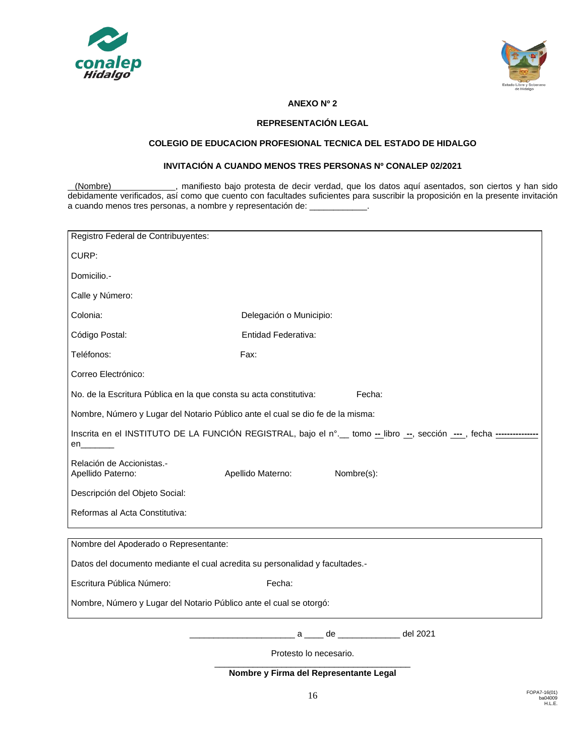



## **ANEXO Nº 2**

## **REPRESENTACIÓN LEGAL**

# **COLEGIO DE EDUCACION PROFESIONAL TECNICA DEL ESTADO DE HIDALGO**

#### **INVITACIÓN A CUANDO MENOS TRES PERSONAS Nº CONALEP 02/2021**

(Nombre) , manifiesto bajo protesta de decir verdad, que los datos aquí asentados, son ciertos y han sido debidamente verificados, así como que cuento con facultades suficientes para suscribir la proposición en la presente invitación a cuando menos tres personas, a nombre y representación de: \_\_\_\_\_\_\_\_\_\_\_\_.

| Registro Federal de Contribuyentes:                                                                                        |                                 |  |  |  |  |
|----------------------------------------------------------------------------------------------------------------------------|---------------------------------|--|--|--|--|
| CURP:                                                                                                                      |                                 |  |  |  |  |
| Domicilio.-                                                                                                                |                                 |  |  |  |  |
| Calle y Número:                                                                                                            |                                 |  |  |  |  |
| Colonia:                                                                                                                   | Delegación o Municipio:         |  |  |  |  |
| Código Postal:                                                                                                             | Entidad Federativa:             |  |  |  |  |
| Teléfonos:                                                                                                                 | Fax:                            |  |  |  |  |
| Correo Electrónico:                                                                                                        |                                 |  |  |  |  |
| No. de la Escritura Pública en la que consta su acta constitutiva:                                                         | Fecha:                          |  |  |  |  |
| Nombre, Número y Lugar del Notario Público ante el cual se dio fe de la misma:                                             |                                 |  |  |  |  |
| Inscrita en el INSTITUTO DE LA FUNCIÓN REGISTRAL, bajo el nº. tomo - libro -, sección ---, fecha ------------<br>en_______ |                                 |  |  |  |  |
| Relación de Accionistas.-<br>Apellido Paterno:                                                                             | Apellido Materno:<br>Nombre(s): |  |  |  |  |
| Descripción del Objeto Social:                                                                                             |                                 |  |  |  |  |
| Reformas al Acta Constitutiva:                                                                                             |                                 |  |  |  |  |
| Nombre del Apoderado o Representante:                                                                                      |                                 |  |  |  |  |
| Datos del documento mediante el cual acredita su personalidad y facultades.-                                               |                                 |  |  |  |  |
| Escritura Pública Número:                                                                                                  | Fecha:                          |  |  |  |  |
| Nombre, Número y Lugar del Notario Público ante el cual se otorgó:                                                         |                                 |  |  |  |  |
|                                                                                                                            |                                 |  |  |  |  |

\_\_\_\_\_\_\_\_\_\_\_\_\_\_\_\_\_\_\_\_\_\_ a \_\_\_\_ de \_\_\_\_\_\_\_\_\_\_\_\_\_ del 2021

Protesto lo necesario.

\_\_\_\_\_\_\_\_\_\_\_\_\_\_\_\_\_\_\_\_\_\_\_\_\_\_\_\_\_\_\_\_\_\_\_\_\_\_\_\_\_ **Nombre y Firma del Representante Legal**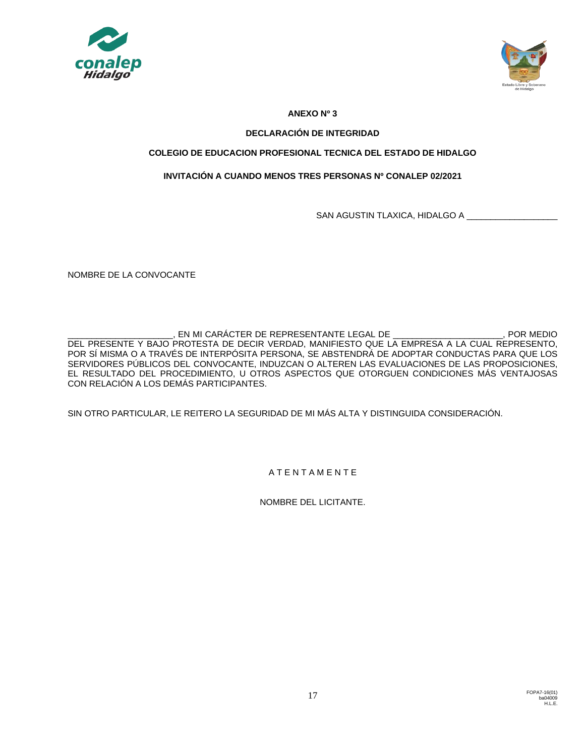



# **ANEXO Nº 3**

# **DECLARACIÓN DE INTEGRIDAD**

# **COLEGIO DE EDUCACION PROFESIONAL TECNICA DEL ESTADO DE HIDALGO**

# **INVITACIÓN A CUANDO MENOS TRES PERSONAS Nº CONALEP 02/2021**

SAN AGUSTIN TLAXICA, HIDALGO A \_\_\_\_\_\_\_\_\_\_\_\_\_

NOMBRE DE LA CONVOCANTE

\_\_\_\_\_\_\_\_\_\_\_\_\_\_\_\_\_\_\_\_\_\_, EN MI CARÁCTER DE REPRESENTANTE LEGAL DE \_\_\_\_\_\_\_\_\_\_\_\_\_\_\_\_\_\_\_\_\_\_\_, POR MEDIO DEL PRESENTE Y BAJO PROTESTA DE DECIR VERDAD, MANIFIESTO QUE LA EMPRESA A LA CUAL REPRESENTO, POR SÍ MISMA O A TRAVÉS DE INTERPÓSITA PERSONA, SE ABSTENDRÁ DE ADOPTAR CONDUCTAS PARA QUE LOS SERVIDORES PÚBLICOS DEL CONVOCANTE, INDUZCAN O ALTEREN LAS EVALUACIONES DE LAS PROPOSICIONES, EL RESULTADO DEL PROCEDIMIENTO, U OTROS ASPECTOS QUE OTORGUEN CONDICIONES MÁS VENTAJOSAS CON RELACIÓN A LOS DEMÁS PARTICIPANTES.

SIN OTRO PARTICULAR, LE REITERO LA SEGURIDAD DE MI MÁS ALTA Y DISTINGUIDA CONSIDERACIÓN.

A T E N T A M E N T E

NOMBRE DEL LICITANTE.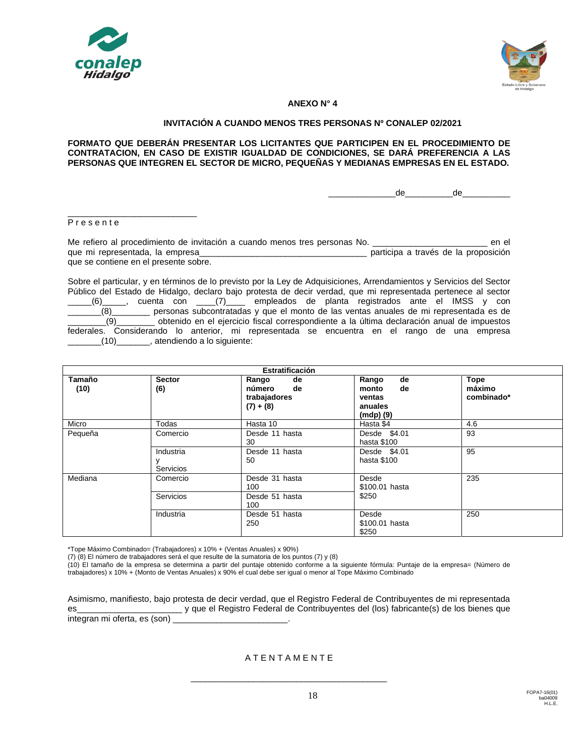



#### **ANEXO N° 4**

#### **INVITACIÓN A CUANDO MENOS TRES PERSONAS Nº CONALEP 02/2021**

**FORMATO QUE DEBERÁN PRESENTAR LOS LICITANTES QUE PARTICIPEN EN EL PROCEDIMIENTO DE CONTRATACION, EN CASO DE EXISTIR IGUALDAD DE CONDICIONES, SE DARÁ PREFERENCIA A LAS PERSONAS QUE INTEGREN EL SECTOR DE MICRO, PEQUEÑAS Y MEDIANAS EMPRESAS EN EL ESTADO.**

 $de$   $de$ 

P r e s e n t e

\_\_\_\_\_\_\_\_\_\_\_\_\_\_\_\_\_\_\_\_\_\_\_\_\_\_\_

Me refiero al procedimiento de invitación a cuando menos tres personas No. \_\_\_\_\_\_\_\_\_\_\_\_\_\_\_\_\_\_\_\_\_\_\_\_ en el que mi representada, la empresa\_\_\_\_\_\_\_\_\_\_\_\_\_\_\_\_\_\_\_\_\_\_\_\_\_\_\_\_\_\_\_\_\_\_\_ participa a través de la proposición que se contiene en el presente sobre.

Sobre el particular, y en términos de lo previsto por la Ley de Adquisiciones, Arrendamientos y Servicios del Sector Público del Estado de Hidalgo, declaro bajo protesta de decir verdad, que mi representada pertenece al sector  $_{\rm L}$ (6)\_\_\_\_\_, cuenta con \_\_\_\_(7)\_\_\_\_ empleados de planta registrados ante el IMSS y con \_\_\_\_\_\_\_(8)\_\_\_\_\_\_\_\_ personas subcontratadas y que el monto de las ventas anuales de mi representada es de \_\_\_\_\_\_\_\_(9)\_\_\_\_\_\_\_\_ obtenido en el ejercicio fiscal correspondiente a la última declaración anual de impuestos federales. Considerando lo anterior, mi representada se encuentra en el rango de una empresa \_\_\_\_\_\_\_(10)\_\_\_\_\_\_\_, atendiendo a lo siguiente:

| Estratificación |                                    |                                                            |                                                                 |                                     |  |
|-----------------|------------------------------------|------------------------------------------------------------|-----------------------------------------------------------------|-------------------------------------|--|
| Tamaño<br>(10)  | <b>Sector</b><br>(6)               | Rango<br>de<br>número<br>de<br>trabajadores<br>$(7) + (8)$ | de<br>Rango<br>de<br>monto<br>ventas<br>anuales<br>$(modp)$ (9) | <b>Tope</b><br>máximo<br>combinado* |  |
| Micro           | Todas                              | Hasta 10                                                   | Hasta \$4                                                       | 4.6                                 |  |
| Pequeña         | Comercio                           | Desde 11 hasta<br>30                                       | Desde \$4.01<br>hasta \$100                                     | 93                                  |  |
|                 | Industria<br>у<br><b>Servicios</b> | Desde 11 hasta<br>50                                       | Desde \$4.01<br>hasta \$100                                     | 95                                  |  |
| Mediana         | Comercio                           | Desde 31 hasta<br>100                                      | Desde<br>\$100.01 hasta                                         | 235                                 |  |
|                 | Servicios                          | Desde 51 hasta<br>100                                      | \$250                                                           |                                     |  |
|                 | Industria                          | Desde 51 hasta<br>250                                      | Desde<br>\$100.01 hasta<br>\$250                                | 250                                 |  |

\*Tope Máximo Combinado= (Trabajadores) x 10% + (Ventas Anuales) x 90%)

(7) (8) El número de trabajadores será el que resulte de la sumatoria de los puntos (7) y (8)

(10) El tamaño de la empresa se determina a partir del puntaje obtenido conforme a la siguiente fórmula: Puntaje de la empresa= (Número de trabajadores) x 10% + (Monto de Ventas Anuales) x 90% el cual debe ser igual o menor al Tope Máximo Combinado

Asimismo, manifiesto, bajo protesta de decir verdad, que el Registro Federal de Contribuyentes de mi representada es\_\_\_\_\_\_\_\_\_\_\_\_\_\_\_\_\_\_\_\_\_\_ y que el Registro Federal de Contribuyentes del (los) fabricante(s) de los bienes que integran mi oferta, es (son)

A T E N T A M E N T E

\_\_\_\_\_\_\_\_\_\_\_\_\_\_\_\_\_\_\_\_\_\_\_\_\_\_\_\_\_\_\_\_\_\_\_\_\_\_\_\_\_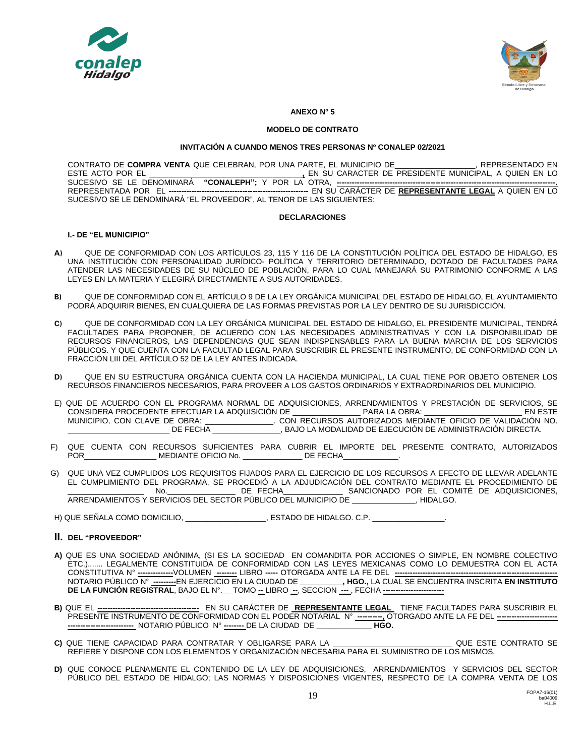



#### **ANEXO N° 5**

#### **MODELO DE CONTRATO**

#### **INVITACIÓN A CUANDO MENOS TRES PERSONAS Nº CONALEP 02/2021**

CONTRATO DE **COMPRA VENTA** QUE CELEBRAN, POR UNA PARTE, EL MUNICIPIO DE\_\_\_\_\_\_\_\_\_\_\_\_\_\_\_\_\_\_\_, REPRESENTADO EN ESTE ACTO POR EL \_\_\_\_\_\_\_\_\_\_\_\_\_\_\_\_\_\_\_\_\_\_\_\_\_\_\_\_\_\_\_\_\_\_\_\_**,** EN SU CARACTER DE PRESIDENTE MUNICIPAL, A QUIEN EN LO SUCESIVO SE LE DENOMINARÁ **"CONALEPH";** Y POR LA OTRA, -REPRESENTADA POR EL **-------------------------------------------------------** EN SU CARÁCTER DE **REPRESENTANTE LEGAL** A QUIEN EN LO SUCESIVO SE LE DENOMINARÁ "EL PROVEEDOR", AL TENOR DE LAS SIGUIENTES:

#### **DECLARACIONES**

#### **I.- DE "EL MUNICIPIO"**

- **A)** QUE DE CONFORMIDAD CON LOS ARTÍCULOS 23, 115 Y 116 DE LA CONSTITUCIÓN POLÍTICA DEL ESTADO DE HIDALGO, ES UNA INSTITUCIÓN CON PERSONALIDAD JURÍDICO- POLÍTICA Y TERRITORIO DETERMINADO, DOTADO DE FACULTADES PARA ATENDER LAS NECESIDADES DE SU NÚCLEO DE POBLACIÓN, PARA LO CUAL MANEJARÁ SU PATRIMONIO CONFORME A LAS LEYES EN LA MATERIA Y ELEGIRÁ DIRECTAMENTE A SUS AUTORIDADES.
- **B)** QUE DE CONFORMIDAD CON EL ARTÍCULO 9 DE LA LEY ORGÁNICA MUNICIPAL DEL ESTADO DE HIDALGO, EL AYUNTAMIENTO PODRÁ ADQUIRIR BIENES, EN CUALQUIERA DE LAS FORMAS PREVISTAS POR LA LEY DENTRO DE SU JURISDICCIÓN.
- **C)** QUE DE CONFORMIDAD CON LA LEY ORGÁNICA MUNICIPAL DEL ESTADO DE HIDALGO, EL PRESIDENTE MUNICIPAL, TENDRÁ FACULTADES PARA PROPONER, DE ACUERDO CON LAS NECESIDADES ADMINISTRATIVAS Y CON LA DISPONIBILIDAD DE RECURSOS FINANCIEROS, LAS DEPENDENCIAS QUE SEAN INDISPENSABLES PARA LA BUENA MARCHA DE LOS SERVICIOS PÚBLICOS. Y QUE CUENTA CON LA FACULTAD LEGAL PARA SUSCRIBIR EL PRESENTE INSTRUMENTO, DE CONFORMIDAD CON LA FRACCIÓN LIII DEL ARTÍCULO 52 DE LA LEY ANTES INDICADA.
- **D)** QUE EN SU ESTRUCTURA ORGÁNICA CUENTA CON LA HACIENDA MUNICIPAL, LA CUAL TIENE POR OBJETO OBTENER LOS RECURSOS FINANCIEROS NECESARIOS, PARA PROVEER A LOS GASTOS ORDINARIOS Y EXTRAORDINARIOS DEL MUNICIPIO.
- E) QUE DE ACUERDO CON EL PROGRAMA NORMAL DE ADQUISICIONES, ARRENDAMIENTOS Y PRESTACIÓN DE SERVICIOS, SE<br>CONSIDERA PROCEDENTE EFECTUAR LA ADQUISICIÓN DE PARA LA OBRA: EN ESTE CONSIDERA PROCEDENTE EFECTUAR LA ADQUISICIÓN DE \_\_\_\_\_\_\_\_\_\_\_\_\_\_\_\_ PARA LA OBRA: \_\_\_\_\_\_\_\_\_\_\_\_\_\_\_\_\_\_\_\_\_\_\_ EN ESTE MUNICIPIO, CON CLAVE DE OBRA: \_\_\_\_\_\_\_\_\_\_\_\_\_\_\_\_. CON RECURSOS AUTORIZADOS MEDIANTE OFICIO DE VALIDACIÓN NO. \_\_\_\_\_\_\_\_\_\_\_\_\_\_\_\_\_\_\_\_\_\_\_\_ DE FECHA \_\_\_\_\_\_\_\_\_\_\_\_\_\_\_\_, BAJO LA MODALIDAD DE EJECUCIÓN DE ADMINISTRACIÓN DIRECTA.
- F) QUE CUENTA CON RECURSOS SUFICIENTES PARA CUBRIR EL IMPORTE DEL PRESENTE CONTRATO, AUTORIZADOS POR\_\_\_\_\_\_\_\_\_\_\_\_\_\_\_\_\_\_\_\_\_\_\_\_\_\_\_\_\_\_\_MEDIANTE OFICIO No. \_\_\_\_\_\_\_\_\_\_\_\_\_\_\_\_\_\_\_\_\_\_DE FECHA\_
- G) QUE UNA VEZ CUMPLIDOS LOS REQUISITOS FIJADOS PARA EL EJERCICIO DE LOS RECURSOS A EFECTO DE LLEVAR ADELANTE EL CUMPLIMIENTO DEL PROGRAMA, SE PROCEDIÓ A LA ADJUDICACIÓN DEL CONTRATO MEDIANTE EL PROCEDIMIENTO DE \_\_\_\_\_\_\_\_\_\_\_\_\_\_\_\_\_\_ No.\_\_\_\_\_\_\_\_\_\_\_\_\_\_\_\_ DE FECHA\_\_\_\_\_\_\_\_\_\_\_\_\_\_ SANCIONADO POR EL COMITÉ DE ADQUISICIONES, ARRENDAMIENTOS Y SERVICIOS DEL SECTOR PÚBLICO DEL MUNICIPIO DE \_

H) QUE SEÑALA COMO DOMICILIO, \_\_\_\_\_\_\_\_\_\_\_\_\_\_\_\_\_\_\_, ESTADO DE HIDALGO. C.P. \_\_\_\_\_\_\_\_\_\_\_\_\_\_\_\_\_.

#### **II. DEL "PROVEEDOR"**

- **A)** QUE ES UNA SOCIEDAD ANÓNIMA, (SI ES LA SOCIEDAD EN COMANDITA POR ACCIONES O SIMPLE, EN NOMBRE COLECTIVO ETC.)....... LEGALMENTE CONSTITUIDA DE CONFORMIDAD CON LAS LEYES MEXICANAS COMO LO DEMUESTRA CON EL ACTA CONSTITUTIVA N° **--------------**VOLUMEN **--------** LIBRO **-----** OTORGADA ANTE LA FE DEL **----------------------------------------------------------------** NOTARIO PÚBLICO N° **---------**EN EJERCICIO EN LA CIUDAD DE **\_\_\_\_\_\_\_\_\_\_, HGO.,** LA CUAL SE ENCUENTRA INSCRITA **EN INSTITUTO DE LA FUNCIÓN REGISTRAL**, BAJO EL N°.\_\_ TOMO **--** LIBRO **--**, SECCION **---** , FECHA **------------------------**
- **B)** QUE EL **----------------------------------------** EN SU CARÁCTER DE **REPRESENTANTE LEGAL** TIENE FACULTADES PARA SUSCRIBIR EL PRESENTE INSTRUMENTO DE CONFORMIDAD CON EL PODER NOTARIAL N° **----------,** OTORGADO ANTE LA FE DEL **------------------------ --------------------------** NOTARIO PÚBLICO N° **--------** DE LA CIUDAD DE **\_\_\_\_\_\_\_\_\_\_\_\_\_ HGO.**
- **C)** QUE TIENE CAPACIDAD PARA CONTRATAR Y OBLIGARSE PARA LA \_\_\_\_\_\_\_\_\_\_\_\_\_\_\_\_\_\_\_\_\_\_\_\_\_\_\_\_ QUE ESTE CONTRATO SE REFIERE Y DISPONE CON LOS ELEMENTOS Y ORGANIZACIÓN NECESARIA PARA EL SUMINISTRO DE LOS MISMOS.
- **D)** QUE CONOCE PLENAMENTE EL CONTENIDO DE LA LEY DE ADQUISICIONES, ARRENDAMIENTOS Y SERVICIOS DEL SECTOR PÚBLICO DEL ESTADO DE HIDALGO; LAS NORMAS Y DISPOSICIONES VIGENTES, RESPECTO DE LA COMPRA VENTA DE LOS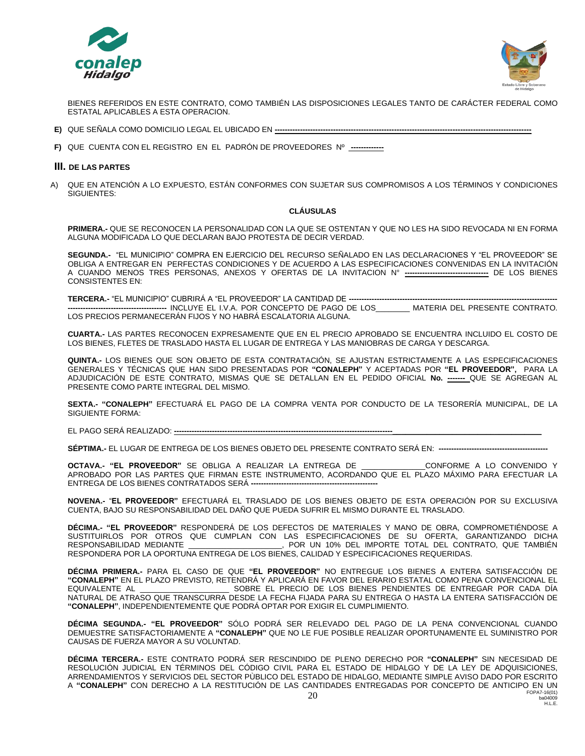



BIENES REFERIDOS EN ESTE CONTRATO, COMO TAMBIÉN LAS DISPOSICIONES LEGALES TANTO DE CARÁCTER FEDERAL COMO ESTATAL APLICABLES A ESTA OPERACION.

- **E)** QUE SEÑALA COMO DOMICILIO LEGAL EL UBICADO EN **-----------------------------------------------------------------------------------------------------**
- **F)** QUE CUENTA CON EL REGISTRO EN EL PADRÓN DE PROVEEDORES Nº **-------------**

#### **III. DE LAS PARTES**

A) QUE EN ATENCIÓN A LO EXPUESTO, ESTÁN CONFORMES CON SUJETAR SUS COMPROMISOS A LOS TÉRMINOS Y CONDICIONES SIGUIENTES:

#### **CLÁUSULAS**

**PRIMERA.-** QUE SE RECONOCEN LA PERSONALIDAD CON LA QUE SE OSTENTAN Y QUE NO LES HA SIDO REVOCADA NI EN FORMA ALGUNA MODIFICADA LO QUE DECLARAN BAJO PROTESTA DE DECIR VERDAD.

**SEGUNDA.-** "EL MUNICIPIO" COMPRA EN EJERCICIO DEL RECURSO SEÑALADO EN LAS DECLARACIONES Y "EL PROVEEDOR" SE OBLIGA A ENTREGAR EN PERFECTAS CONDICIONES Y DE ACUERDO A LAS ESPECIFICACIONES CONVENIDAS EN LA INVITACIÓN A CUANDO MENOS TRES PERSONAS, ANEXOS Y OFERTAS DE LA INVITACION N° **---------------------------------** DE LOS BIENES CONSISTENTES EN:

**TERCERA.-** "EL MUNICIPIO" CUBRIRÁ A "EL PROVEEDOR" LA CANTIDAD DE **---------------------------------------------------------------------------------- ---------------------------------------** INCLUYE EL I.V.A. POR CONCEPTO DE PAGO DE LOS\_\_\_\_\_\_\_\_ MATERIA DEL PRESENTE CONTRATO. LOS PRECIOS PERMANECERÁN FIJOS Y NO HABRÁ ESCALATORIA ALGUNA.

**CUARTA.-** LAS PARTES RECONOCEN EXPRESAMENTE QUE EN EL PRECIO APROBADO SE ENCUENTRA INCLUIDO EL COSTO DE LOS BIENES, FLETES DE TRASLADO HASTA EL LUGAR DE ENTREGA Y LAS MANIOBRAS DE CARGA Y DESCARGA.

**QUINTA.-** LOS BIENES QUE SON OBJETO DE ESTA CONTRATACIÓN, SE AJUSTAN ESTRICTAMENTE A LAS ESPECIFICACIONES GENERALES Y TÉCNICAS QUE HAN SIDO PRESENTADAS POR **"CONALEPH"** Y ACEPTADAS POR **"EL PROVEEDOR",** PARA LA ADJUDICACIÓN DE ESTE CONTRATO, MISMAS QUE SE DETALLAN EN EL PEDIDO OFICIAL **No. -------** QUE SE AGREGAN AL PRESENTE COMO PARTE INTEGRAL DEL MISMO.

**SEXTA.- "CONALEPH"** EFECTUARÁ EL PAGO DE LA COMPRA VENTA POR CONDUCTO DE LA TESORERÍA MUNICIPAL, DE LA SIGUIENTE FORMA:

EL PAGO SERÁ REALIZADO: **--------------------------------------------------------------------------------------\_\_\_\_\_\_\_\_\_\_\_\_\_\_\_\_\_\_\_\_\_\_\_\_\_\_\_\_\_\_\_\_\_\_\_**

**SÉPTIMA.-** EL LUGAR DE ENTREGA DE LOS BIENES OBJETO DEL PRESENTE CONTRATO SERÁ EN: **-------------------------------------------**

**OCTAVA.- "EL PROVEEDOR"** SE OBLIGA A REALIZAR LA ENTREGA DE \_\_\_\_\_\_\_\_\_\_\_\_\_\_\_CONFORME A LO CONVENIDO Y APROBADO POR LAS PARTES QUE FIRMAN ESTE INSTRUMENTO, ACORDANDO QUE EL PLAZO MÁXIMO PARA EFECTUAR LA ENTREGA DE LOS BIENES CONTRATADOS SERÁ **--------------------------------------------------**

**NOVENA.-** "**EL PROVEEDOR"** EFECTUARÁ EL TRASLADO DE LOS BIENES OBJETO DE ESTA OPERACIÓN POR SU EXCLUSIVA CUENTA, BAJO SU RESPONSABILIDAD DEL DAÑO QUE PUEDA SUFRIR EL MISMO DURANTE EL TRASLADO.

**DÉCIMA.- "EL PROVEEDOR"** RESPONDERÁ DE LOS DEFECTOS DE MATERIALES Y MANO DE OBRA, COMPROMETIÉNDOSE A SUSTITUIRLOS POR OTROS QUE CUMPLAN CON LAS ESPECIFICACIONES DE SU OFERTA, GARANTIZANDO DICHA<br>RESPONSABILIDAD MEDIANTE \_\_\_\_\_\_\_\_\_\_\_\_\_\_\_\_\_, POR UN 10% DEL IMPORTE TOTAL DEL CONTRATO, QUE TAMBIÉN RESPOR UN 10% DEL IMPORTE TOTAL DEL CONTRATO, QUE TAMBIÉN RESPONDERA POR LA OPORTUNA ENTREGA DE LOS BIENES, CALIDAD Y ESPECIFICACIONES REQUERIDAS.

**DÉCIMA PRIMERA.-** PARA EL CASO DE QUE **"EL PROVEEDOR"** NO ENTREGUE LOS BIENES A ENTERA SATISFACCIÓN DE **"CONALEPH"** EN EL PLAZO PREVISTO, RETENDRÁ Y APLICARÁ EN FAVOR DEL ERARIO ESTATAL COMO PENA CONVENCIONAL EL SOBRE EL PRECIO DE LOS BIENES PENDIENTES DE ENTREGAR POR CADA DÍA NATURAL DE ATRASO QUE TRANSCURRA DESDE LA FECHA FIJADA PARA SU ENTREGA O HASTA LA ENTERA SATISFACCIÓN DE **"CONALEPH"**, INDEPENDIENTEMENTE QUE PODRÁ OPTAR POR EXIGIR EL CUMPLIMIENTO.

**DÉCIMA SEGUNDA.- "EL PROVEEDOR"** SÓLO PODRÁ SER RELEVADO DEL PAGO DE LA PENA CONVENCIONAL CUANDO DEMUESTRE SATISFACTORIAMENTE A **"CONALEPH"** QUE NO LE FUE POSIBLE REALIZAR OPORTUNAMENTE EL SUMINISTRO POR CAUSAS DE FUERZA MAYOR A SU VOLUNTAD.

FOPA7-16(01) **DÉCIMA TERCERA.-** ESTE CONTRATO PODRÁ SER RESCINDIDO DE PLENO DERECHO POR **"CONALEPH"** SIN NECESIDAD DE RESOLUCIÓN JUDICIAL EN TÉRMINOS DEL CÓDIGO CIVIL PARA EL ESTADO DE HIDALGO Y DE LA LEY DE ADQUISICIONES, ARRENDAMIENTOS Y SERVICIOS DEL SECTOR PÙBLICO DEL ESTADO DE HIDALGO, MEDIANTE SIMPLE AVISO DADO POR ESCRITO A **"CONALEPH"** CON DERECHO A LA RESTITUCIÓN DE LAS CANTIDADES ENTREGADAS POR CONCEPTO DE ANTICIPO EN UN